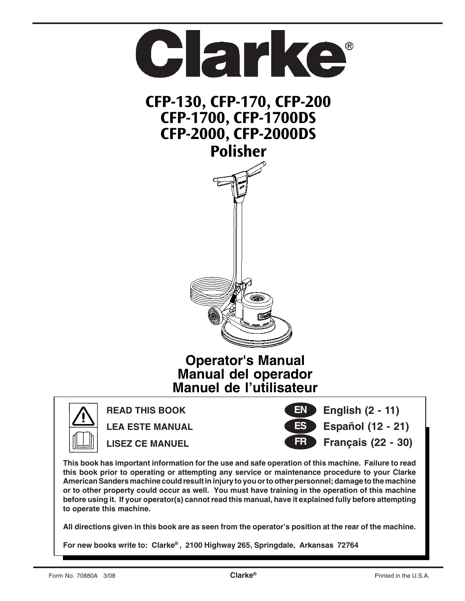



**READ THIS BOOK**

**LEA ESTE MANUAL LISEZ CE MANUEL**



 **English (2 - 11) Español (12 - 21)**

 **Français (22 - 30)**

**This book has important information for the use and safe operation of this machine. Failure to read this book prior to operating or attempting any service or maintenance procedure to your Clarke American Sanders machine could result in injury to you or to other personnel; damage to the machine or to other property could occur as well. You must have training in the operation of this machine before using it. If your operator(s) cannot read this manual, have it explained fully before attempting to operate this machine.**

**All directions given in this book are as seen from the operator's position at the rear of the machine.**

**For new books write to: Clarke® , 2100 Highway 265, Springdale, Arkansas 72764**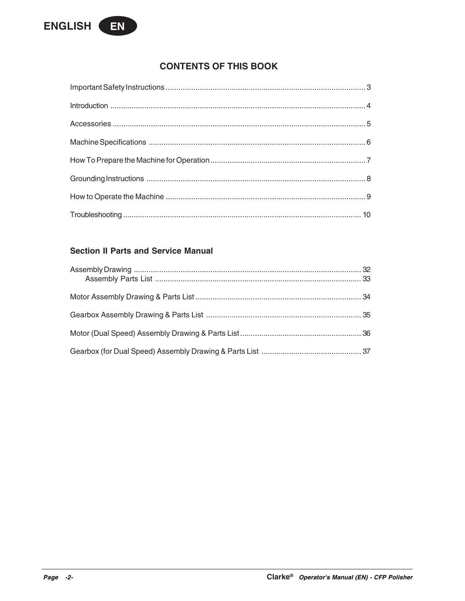

# **CONTENTS OF THIS BOOK**

# **Section II Parts and Service Manual**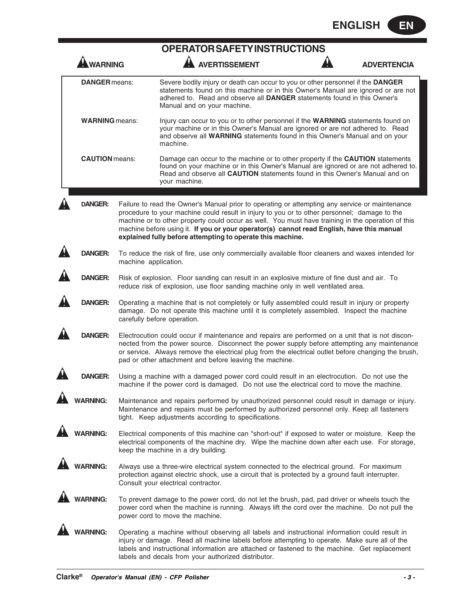|                       |                                                                                                                                                                                                                                                                                                                                                                   | OPERATOR SAFETY INSTRUCTIONS                                                                                                                                                                                                                                                                                                                                                                                                                                   |  |                    |  |  |
|-----------------------|-------------------------------------------------------------------------------------------------------------------------------------------------------------------------------------------------------------------------------------------------------------------------------------------------------------------------------------------------------------------|----------------------------------------------------------------------------------------------------------------------------------------------------------------------------------------------------------------------------------------------------------------------------------------------------------------------------------------------------------------------------------------------------------------------------------------------------------------|--|--------------------|--|--|
| <b>WARNING</b>        |                                                                                                                                                                                                                                                                                                                                                                   | <b>AVERTISSEMENT</b>                                                                                                                                                                                                                                                                                                                                                                                                                                           |  | <b>ADVERTENCIA</b> |  |  |
| <b>DANGER</b> means:  |                                                                                                                                                                                                                                                                                                                                                                   | Severe bodily injury or death can occur to you or other personnel if the DANGER<br>statements found on this machine or in this Owner's Manual are ignored or are not<br>adhered to. Read and observe all DANGER statements found in this Owner's<br>Manual and on your machine.                                                                                                                                                                                |  |                    |  |  |
| <b>WARNING</b> means: |                                                                                                                                                                                                                                                                                                                                                                   | Injury can occur to you or to other personnel if the WARNING statements found on<br>your machine or in this Owner's Manual are ignored or are not adhered to. Read<br>and observe all WARNING statements found in this Owner's Manual and on your<br>machine.                                                                                                                                                                                                  |  |                    |  |  |
| <b>CAUTION</b> means: |                                                                                                                                                                                                                                                                                                                                                                   | Damage can occur to the machine or to other property if the <b>CAUTION</b> statements<br>found on your machine or in this Owner's Manual are ignored or are not adhered to.<br>Read and observe all CAUTION statements found in this Owner's Manual and on<br>your machine.                                                                                                                                                                                    |  |                    |  |  |
| <b>DANGER:</b>        |                                                                                                                                                                                                                                                                                                                                                                   | Failure to read the Owner's Manual prior to operating or attempting any service or maintenance<br>procedure to your machine could result in injury to you or to other personnel; damage to the<br>machine or to other property could occur as well. You must have training in the operation of this<br>machine before using it. If you or your operator(s) cannot read English, have this manual<br>explained fully before attempting to operate this machine. |  |                    |  |  |
| DANGER:               | machine application.                                                                                                                                                                                                                                                                                                                                              | To reduce the risk of fire, use only commercially available floor cleaners and waxes intended for                                                                                                                                                                                                                                                                                                                                                              |  |                    |  |  |
| <b>DANGER:</b>        | Risk of explosion. Floor sanding can result in an explosive mixture of fine dust and air. To<br>reduce risk of explosion, use floor sanding machine only in well ventilated area.                                                                                                                                                                                 |                                                                                                                                                                                                                                                                                                                                                                                                                                                                |  |                    |  |  |
| <b>DANGER:</b>        | Operating a machine that is not completely or fully assembled could result in injury or property<br>damage. Do not operate this machine until it is completely assembled. Inspect the machine<br>carefully before operation.                                                                                                                                      |                                                                                                                                                                                                                                                                                                                                                                                                                                                                |  |                    |  |  |
| <b>DANGER:</b>        | Electrocution could occur if maintenance and repairs are performed on a unit that is not discon-<br>nected from the power source. Disconnect the power supply before attempting any maintenance<br>or service. Always remove the electrical plug from the electrical outlet before changing the brush,<br>pad or other attachment and before leaving the machine. |                                                                                                                                                                                                                                                                                                                                                                                                                                                                |  |                    |  |  |
| DANGER:               | Using a machine with a damaged power cord could result in an electrocution. Do not use the<br>machine if the power cord is damaged. Do not use the electrical cord to move the machine.                                                                                                                                                                           |                                                                                                                                                                                                                                                                                                                                                                                                                                                                |  |                    |  |  |
| <b>ARNING:</b>        | Maintenance and repairs performed by unauthorized personnel could result in damage or injury.<br>Maintenance and repairs must be performed by authorized personnel only. Keep all fasteners<br>tight. Keep adjustments according to specifications.                                                                                                               |                                                                                                                                                                                                                                                                                                                                                                                                                                                                |  |                    |  |  |
| <b>ARNING:</b>        | Electrical components of this machine can "short-out" if exposed to water or moisture. Keep the<br>electrical components of the machine dry. Wipe the machine down after each use. For storage,<br>keep the machine in a dry building.                                                                                                                            |                                                                                                                                                                                                                                                                                                                                                                                                                                                                |  |                    |  |  |
| <b>ARNING:</b>        | Always use a three-wire electrical system connected to the electrical ground. For maximum<br>protection against electric shock, use a circuit that is protected by a ground fault interrupter.<br>Consult your electrical contractor.                                                                                                                             |                                                                                                                                                                                                                                                                                                                                                                                                                                                                |  |                    |  |  |
| <b>ARNING:</b>        |                                                                                                                                                                                                                                                                                                                                                                   | To prevent damage to the power cord, do not let the brush, pad, pad driver or wheels touch the<br>power cord when the machine is running. Always lift the cord over the machine. Do not pull the<br>power cord to move the machine.                                                                                                                                                                                                                            |  |                    |  |  |
| <b>ARNING:</b>        |                                                                                                                                                                                                                                                                                                                                                                   | Operating a machine without observing all labels and instructional information could result in<br>injury or damage. Read all machine labels before attempting to operate. Make sure all of the<br>labels and instructional information are attached or fastened to the machine. Get replacement<br>labels and decals from your authorized distributor.                                                                                                         |  |                    |  |  |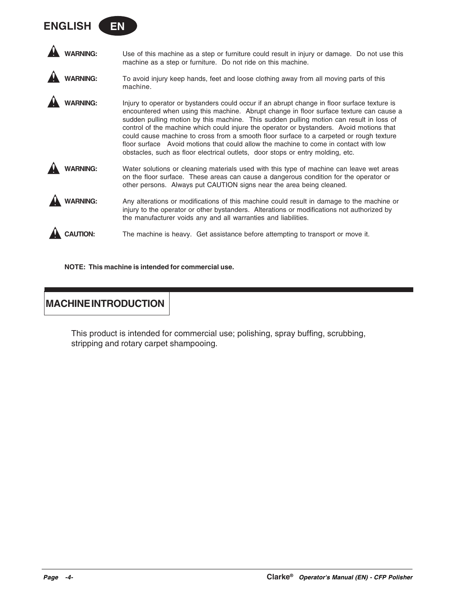| <b>WARNING:</b> | Use of this machine as a step or furniture could result in injury or damage. Do not use this<br>machine as a step or furniture. Do not ride on this machine.                                                                                                                                                                                                                                                                                                                                                                                                                                                                                        |
|-----------------|-----------------------------------------------------------------------------------------------------------------------------------------------------------------------------------------------------------------------------------------------------------------------------------------------------------------------------------------------------------------------------------------------------------------------------------------------------------------------------------------------------------------------------------------------------------------------------------------------------------------------------------------------------|
| <b>NARNING</b>  | To avoid injury keep hands, feet and loose clothing away from all moving parts of this<br>machine.                                                                                                                                                                                                                                                                                                                                                                                                                                                                                                                                                  |
| ARNING:         | Injury to operator or bystanders could occur if an abrupt change in floor surface texture is<br>encountered when using this machine. Abrupt change in floor surface texture can cause a<br>sudden pulling motion by this machine. This sudden pulling motion can result in loss of<br>control of the machine which could injure the operator or bystanders. Avoid motions that<br>could cause machine to cross from a smooth floor surface to a carpeted or rough texture<br>floor surface Avoid motions that could allow the machine to come in contact with low<br>obstacles, such as floor electrical outlets, door stops or entry molding, etc. |
| <b>ARNING:</b>  | Water solutions or cleaning materials used with this type of machine can leave wet areas<br>on the floor surface. These areas can cause a dangerous condition for the operator or<br>other persons. Always put CAUTION signs near the area being cleaned.                                                                                                                                                                                                                                                                                                                                                                                           |
| ARNING:         | Any alterations or modifications of this machine could result in damage to the machine or<br>injury to the operator or other bystanders. Alterations or modifications not authorized by<br>the manufacturer voids any and all warranties and liabilities.                                                                                                                                                                                                                                                                                                                                                                                           |
|                 | The machine is heavy. Get assistance before attempting to transport or move it.                                                                                                                                                                                                                                                                                                                                                                                                                                                                                                                                                                     |

**NOTE: This machine is intended for commercial use.**

# **MACHINE INTRODUCTION**

**ENGLISH EN**

This product is intended for commercial use; polishing, spray buffing, scrubbing, stripping and rotary carpet shampooing.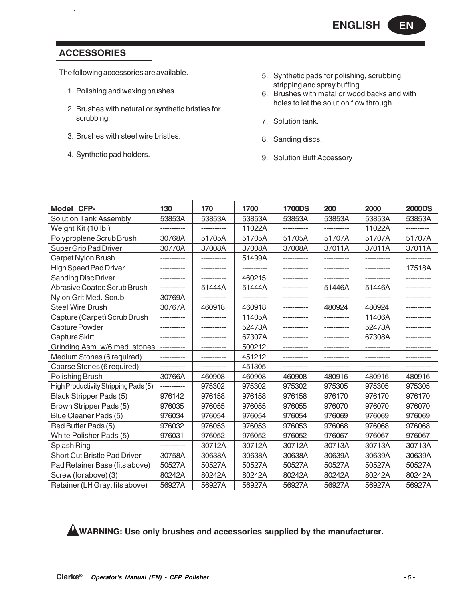# **ACCESSORIES**

The following accessories are available.

- 1. Polishing and waxing brushes.
- 2. Brushes with natural or synthetic bristles for scrubbing.
- 3. Brushes with steel wire bristles.
- 4. Synthetic pad holders.
- 5. Synthetic pads for polishing, scrubbing, stripping and spray buffing.
- 6. Brushes with metal or wood backs and with holes to let the solution flow through.
- 7. Solution tank.
- 8. Sanding discs.
- 9. Solution Buff Accessory

| Model CFP-                           | 130    | 170    | 1700   | <b>1700DS</b> | 200    | 2000   | <b>2000DS</b> |
|--------------------------------------|--------|--------|--------|---------------|--------|--------|---------------|
| <b>Solution Tank Assembly</b>        | 53853A | 53853A | 53853A | 53853A        | 53853A | 53853A | 53853A        |
| Weight Kit (10 lb.)                  |        |        | 11022A |               |        | 11022A |               |
| Polyproplene Scrub Brush             | 30768A | 51705A | 51705A | 51705A        | 51707A | 51707A | 51707A        |
| Super Grip Pad Driver                | 30770A | 37008A | 37008A | 37008A        | 37011A | 37011A | 37011A        |
| Carpet Nylon Brush                   |        |        | 51499A |               |        |        |               |
| <b>High Speed Pad Driver</b>         |        |        |        |               |        |        | 17518A        |
| <b>Sanding Disc Driver</b>           |        |        | 460215 |               |        |        |               |
| Abrasive Coated Scrub Brush          |        | 51444A | 51444A |               | 51446A | 51446A |               |
| Nylon Grit Med. Scrub                | 30769A |        |        |               |        |        |               |
| <b>Steel Wire Brush</b>              | 30767A | 460918 | 460918 |               | 480924 | 480924 |               |
| Capture (Carpet) Scrub Brush         |        |        | 11405A |               |        | 11406A |               |
| Capture Powder                       |        |        | 52473A |               |        | 52473A |               |
| <b>Capture Skirt</b>                 |        |        | 67307A |               |        | 67308A |               |
| Grinding Asm. w/6 med. stones        |        |        | 500212 |               |        |        |               |
| Medium Stones (6 required)           |        |        | 451212 |               |        |        |               |
| Coarse Stones (6 required)           |        |        | 451305 |               |        |        |               |
| Polishing Brush                      | 30766A | 460908 | 460908 | 460908        | 480916 | 480916 | 480916        |
| High Productivity Stripping Pads (5) |        | 975302 | 975302 | 975302        | 975305 | 975305 | 975305        |
| Black Stripper Pads (5)              | 976142 | 976158 | 976158 | 976158        | 976170 | 976170 | 976170        |
| Brown Stripper Pads (5)              | 976035 | 976055 | 976055 | 976055        | 976070 | 976070 | 976070        |
| Blue Cleaner Pads (5)                | 976034 | 976054 | 976054 | 976054        | 976069 | 976069 | 976069        |
| Red Buffer Pads (5)                  | 976032 | 976053 | 976053 | 976053        | 976068 | 976068 | 976068        |
| White Polisher Pads (5)              | 976031 | 976052 | 976052 | 976052        | 976067 | 976067 | 976067        |
| Splash Ring                          |        | 30712A | 30712A | 30712A        | 30713A | 30713A | 30713A        |
| <b>Short Cut Bristle Pad Driver</b>  | 30758A | 30638A | 30638A | 30638A        | 30639A | 30639A | 30639A        |
| Pad Retainer Base (fits above)       | 50527A | 50527A | 50527A | 50527A        | 50527A | 50527A | 50527A        |
| Screw (for above) (3)                | 80242A | 80242A | 80242A | 80242A        | 80242A | 80242A | 80242A        |
| Retainer (LH Gray, fits above)       | 56927A | 56927A | 56927A | 56927A        | 56927A | 56927A | 56927A        |

**WARNING: Use only brushes and accessories supplied by the manufacturer.**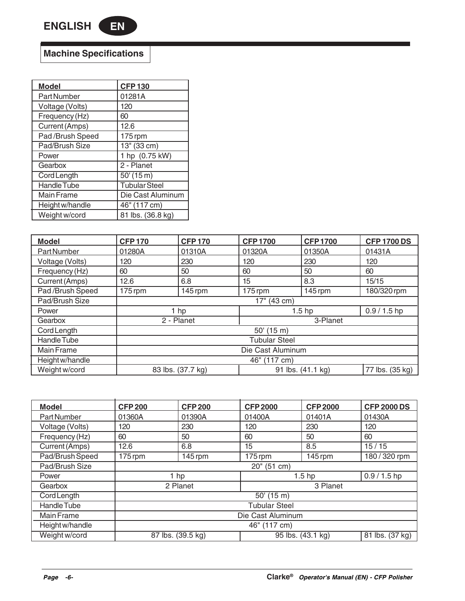# **Machine Specifications**

| <b>Model</b>       | <b>CFP130</b>        |
|--------------------|----------------------|
| <b>Part Number</b> | 01281A               |
| Voltage (Volts)    | 120                  |
| Frequency (Hz)     | 60                   |
| Current (Amps)     | 12.6                 |
| Pad /Brush Speed   | 175 rpm              |
| Pad/Brush Size     | 13" (33 cm)          |
| Power              | 1 hp (0.75 kW)       |
| Gearbox            | 2 - Planet           |
| <b>Cord Length</b> | 50'(15 m)            |
| <b>Handle Tube</b> | <b>Tubular Steel</b> |
| Main Frame         | Die Cast Aluminum    |
| Height w/handle    | 46" (117 cm)         |
| Weight w/cord      | 81 lbs. (36.8 kg)    |

 $\overline{a}$ 

| <b>Model</b>    | <b>CFP170</b>                          | <b>CFP170</b> | <b>CFP1700</b> | <b>CFP1700</b>    | <b>CFP 1700 DS</b> |
|-----------------|----------------------------------------|---------------|----------------|-------------------|--------------------|
| Part Number     | 01280A                                 | 01310A        | 01320A         | 01350A            | 01431A             |
| Voltage (Volts) | 120                                    | 230           | 120            | 230               | 120                |
| Frequency (Hz)  | 60                                     | 50            | 60             | 50                | 60                 |
| Current (Amps)  | 12.6                                   | 6.8           | 15             | 8.3               | 15/15              |
| Pad/Brush Speed | $175$ rpm                              | $145$ rpm     | 175 rpm        | 145 rpm           | 180/320 rpm        |
| Pad/Brush Size  | 17" (43 cm)                            |               |                |                   |                    |
| Power           |                                        | $1$ hp        |                | 1.5 <sub>hp</sub> | $0.9 / 1.5$ hp     |
| Gearbox         |                                        | 2 - Planet    |                | 3-Planet          |                    |
| Cord Length     | $50'$ (15 m)                           |               |                |                   |                    |
| Handle Tube     | <b>Tubular Steel</b>                   |               |                |                   |                    |
| Main Frame      | Die Cast Aluminum                      |               |                |                   |                    |
| Height w/handle | 46" (117 cm)                           |               |                |                   |                    |
| Weight w/cord   | 83 lbs. (37.7 kg)<br>91 lbs. (41.1 kg) |               |                | 77 lbs. (35 kg)   |                    |

| <b>Model</b>    | <b>CFP 200</b>       | <b>CFP 200</b> | <b>CFP 2000</b> | <b>CFP 2000</b>   | <b>CFP 2000 DS</b> |
|-----------------|----------------------|----------------|-----------------|-------------------|--------------------|
| Part Number     | 01360A               | 01390A         | 01400A          | 01401A            | 01430A             |
| Voltage (Volts) | 120                  | 230            | 120             | 230               | 120                |
| Frequency (Hz)  | 60                   | 50             | 60              | 50                | 60                 |
| Current (Amps)  | 12.6                 | 6.8            | 15              | 8.5               | 15/15              |
| Pad/Brush Speed | 175 rpm              | $145$ rpm      | 175 rpm         | 145 rpm           | 180 / 320 rpm      |
| Pad/Brush Size  | $20"$ (51 cm)        |                |                 |                   |                    |
| Power           |                      | $1$ hp         |                 | 1.5 <sub>hp</sub> | $0.9 / 1.5$ hp     |
| Gearbox         |                      | 2 Planet       |                 | 3 Planet          |                    |
| Cord Length     |                      |                | $50'$ (15 m)    |                   |                    |
| Handle Tube     | <b>Tubular Steel</b> |                |                 |                   |                    |
| Main Frame      | Die Cast Aluminum    |                |                 |                   |                    |
| Height w/handle | 46" (117 cm)         |                |                 |                   |                    |
| Weight w/cord   | 87 lbs. (39.5 kg)    |                |                 | 95 lbs. (43.1 kg) | 81 lbs. (37 kg)    |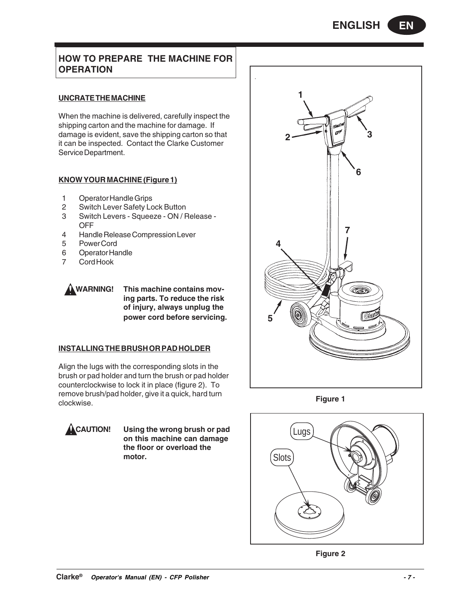# **HOW TO PREPARE THE MACHINE FOR OPERATION**

# **UNCRATE THE MACHINE**

When the machine is delivered, carefully inspect the shipping carton and the machine for damage. If damage is evident, save the shipping carton so that it can be inspected. Contact the Clarke Customer Service Department.

# **KNOW YOUR MACHINE (Figure 1)**

- 1 Operator Handle Grips
- 2 Switch Lever Safety Lock Button
- 3 Switch Levers Squeeze ON / Release OFF
- 4 Handle Release Compression Lever
- 5 Power Cord
- 6 Operator Handle
- 7 Cord Hook



**WARNING! This machine contains moving parts. To reduce the risk of injury, always unplug the power cord before servicing.**

# **INSTALLING THE BRUSH OR PAD HOLDER**

Align the lugs with the corresponding slots in the brush or pad holder and turn the brush or pad holder counterclockwise to lock it in place (figure 2). To remove brush/pad holder, give it a quick, hard turn clockwise.



**CAUTION! Using the wrong brush or pad on this machine can damage the floor or overload the motor.**



**Figure 1**



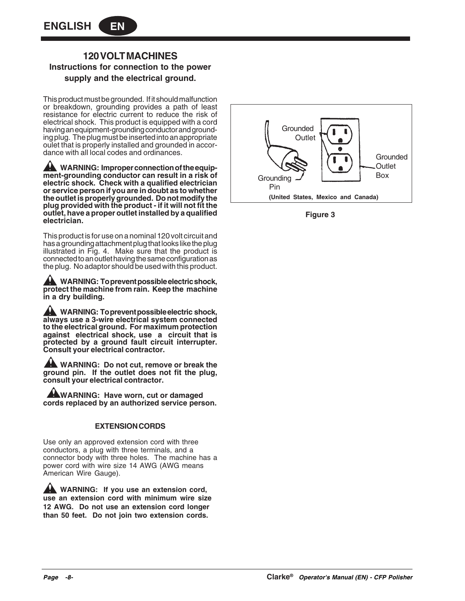# **120 VOLT MACHINES Instructions for connection to the power supply and the electrical ground.**

This product must be grounded. If it should malfunction or breakdown, grounding provides a path of least resistance for electric current to reduce the risk of electrical shock. This product is equipped with a cord having an equipment-grounding conductor and grounding plug. The plug must be inserted into an appropriate oulet that is properly installed and grounded in accordance with all local codes and ordinances.

**A** WARNING: Improper connection of the equip**ment-grounding conductor can result in a risk of electric shock. Check with a qualified electrician or service person if you are in doubt as to whether the outlet is properly grounded. Do not modify the plug provided with the product - if it will not fit the outlet, have a proper outlet installed by a qualified electrician.**

This product is for use on a nominal 120 volt circuit and has a grounding attachment plug that looks like the plug illustrated in Fig. 4. Make sure that the product is connected to an outlet having the same configuration as the plug. No adaptor should be used with this product.

**WARNING: To prevent possible electric shock, protect the machine from rain. Keep the machine in a dry building.**

**WARNING: To prevent possible electric shock, always use a 3-wire electrical system connected to the electrical ground. For maximum protection against electrical shock, use a circuit that is protected by a ground fault circuit interrupter. Consult your electrical contractor.**

**WARNING: Do not cut, remove or break the ground pin. If the outlet does not fit the plug, consult your electrical contractor.**

**WARNING: Have worn, cut or damaged cords replaced by an authorized service person.**

# **EXTENSION CORDS**

Use only an approved extension cord with three conductors, a plug with three terminals, and a connector body with three holes. The machine has a power cord with wire size 14 AWG (AWG means American Wire Gauge).

**WARNING:** If you use an extension cord, **use an extension cord with minimum wire size 12 AWG. Do not use an extension cord longer than 50 feet. Do not join two extension cords.**



**Figure 3**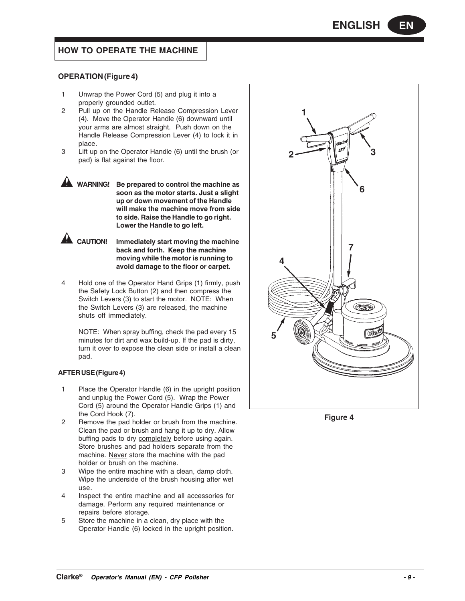# **HOW TO OPERATE THE MACHINE**

## **OPERATION (Figure 4)**

- 1 Unwrap the Power Cord (5) and plug it into a properly grounded outlet.
- 2 Pull up on the Handle Release Compression Lever (4). Move the Operator Handle (6) downward until your arms are almost straight. Push down on the Handle Release Compression Lever (4) to lock it in place.
- 3 Lift up on the Operator Handle (6) until the brush (or pad) is flat against the floor.
- **WARNING! Be prepared to control the machine as soon as the motor starts. Just a slight up or down movement of the Handle will make the machine move from side to side. Raise the Handle to go right. Lower the Handle to go left.**

**CAUTION! Immediately start moving the machine back and forth. Keep the machine moving while the motor is running to avoid damage to the floor or carpet.**

4 Hold one of the Operator Hand Grips (1) firmly, push the Safety Lock Button (2) and then compress the Switch Levers (3) to start the motor. NOTE: When the Switch Levers (3) are released, the machine shuts off immediately.

NOTE: When spray buffing, check the pad every 15 minutes for dirt and wax build-up. If the pad is dirty, turn it over to expose the clean side or install a clean pad.

#### **AFTER USE (Figure 4)**

- 1 Place the Operator Handle (6) in the upright position and unplug the Power Cord (5). Wrap the Power Cord (5) around the Operator Handle Grips (1) and the Cord Hook (7).
- 2 Remove the pad holder or brush from the machine. Clean the pad or brush and hang it up to dry. Allow buffing pads to dry completely before using again. Store brushes and pad holders separate from the machine. Never store the machine with the pad holder or brush on the machine.
- 3 Wipe the entire machine with a clean, damp cloth. Wipe the underside of the brush housing after wet use.
- 4 Inspect the entire machine and all accessories for damage. Perform any required maintenance or repairs before storage.
- 5 Store the machine in a clean, dry place with the Operator Handle (6) locked in the upright position.



**Figure 4**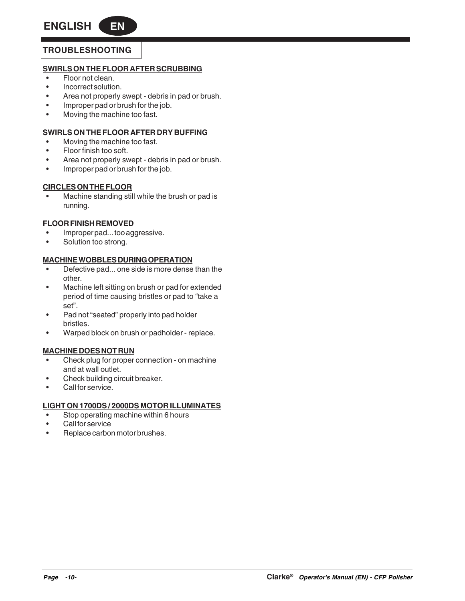# **TROUBLESHOOTING**

# **SWIRLS ON THE FLOOR AFTER SCRUBBING**

- Floor not clean.
- Incorrect solution.
- Area not properly swept debris in pad or brush.
- Improper pad or brush for the job.
- Moving the machine too fast.

# **SWIRLS ON THE FLOOR AFTER DRY BUFFING**

- Moving the machine too fast.
- Floor finish too soft.
- Area not properly swept debris in pad or brush.
- Improper pad or brush for the job.

# **CIRCLES ON THE FLOOR**

• Machine standing still while the brush or pad is running.

# **FLOOR FINISH REMOVED**

- Improper pad... too aggressive.
- Solution too strong.

# **MACHINE WOBBLES DURING OPERATION**

- Defective pad... one side is more dense than the other.
- Machine left sitting on brush or pad for extended period of time causing bristles or pad to "take a set".
- Pad not "seated" properly into pad holder bristles.
- Warped block on brush or padholder replace.

# **MACHINE DOES NOT RUN**

- Check plug for proper connection on machine and at wall outlet.
- Check building circuit breaker.
- Call for service.

# **LIGHT ON 1700DS / 2000DS MOTOR ILLUMINATES**

- Stop operating machine within 6 hours
- Call for service
- Replace carbon motor brushes.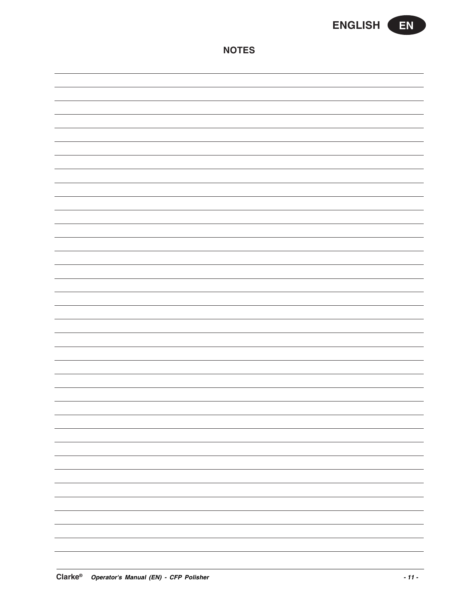

**NOTES**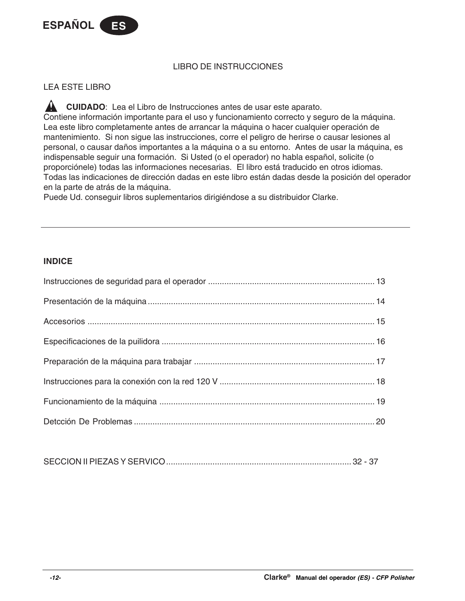

# LIBRO DE INSTRUCCIONES

# LEA ESTE LIBRO

**A** CUIDADO: Lea el Libro de Instrucciones antes de usar este aparato. Contiene información importante para el uso y funcionamiento correcto y seguro de la máquina. Lea este libro completamente antes de arrancar la máquina o hacer cualquier operación de mantenimiento. Si non sigue las instrucciones, corre el peligro de herirse o causar lesiones al personal, o causar daños importantes a la máquina o a su entorno. Antes de usar la máquina, es indispensable seguir una formación. Si Usted (o el operador) no habla español, solicite (o proporciónele) todas las informaciones necesarias. El libro está traducido en otros idiomas. Todas las indicaciones de dirección dadas en este libro están dadas desde la posición del operador en la parte de atrás de la máquina.

Puede Ud. conseguir libros suplementarios dirigiéndose a su distribuidor Clarke.

# **INDICE**

|--|--|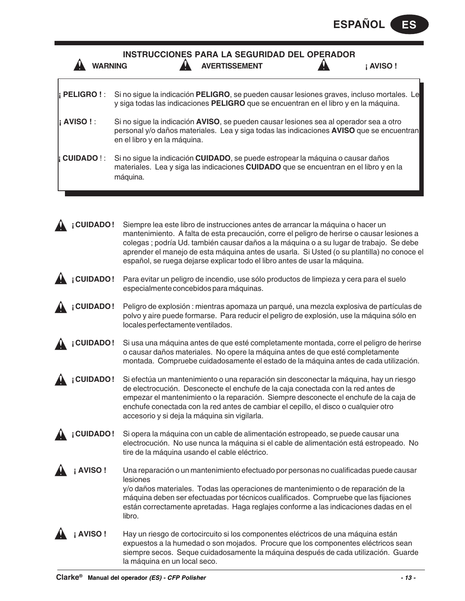| <b>WARNING</b>       | <b>INSTRUCCIONES PARA LA SEGURIDAD DEL OPERADOR</b><br><b>AVERTISSEMENT</b>                                                                                                                                                                                                                                                                                                                                                                          | <b>AVISO!</b> |
|----------------------|------------------------------------------------------------------------------------------------------------------------------------------------------------------------------------------------------------------------------------------------------------------------------------------------------------------------------------------------------------------------------------------------------------------------------------------------------|---------------|
| <b>i PELIGRO ! :</b> | Si no sigue la indicación PELIGRO, se pueden causar lesiones graves, incluso mortales. Le<br>y siga todas las indicaciones PELIGRO que se encuentran en el libro y en la máquina.                                                                                                                                                                                                                                                                    |               |
| i AVISO ! :          | Si no sigue la indicación AVISO, se pueden causar lesiones sea al operador sea a otro<br>personal y/o daños materiales. Lea y siga todas las indicaciones <b>AVISO</b> que se encuentran<br>en el libro y en la máquina.                                                                                                                                                                                                                             |               |
| <b>CUIDADO!:</b>     | Si no sigue la indicación CUIDADO, se puede estropear la máquina o causar daños<br>materiales. Lea y siga las indicaciones CUIDADO que se encuentran en el libro y en la<br>máquina.                                                                                                                                                                                                                                                                 |               |
| <b>CUIDADO!</b>      | Siempre lea este libro de instrucciones antes de arrancar la máquina o hacer un<br>mantenimiento. A falta de esta precaución, corre el peligro de herirse o causar lesiones a<br>colegas ; podría Ud. también causar daños a la máquina o a su lugar de trabajo. Se debe<br>aprender el manejo de esta máquina antes de usarla. Si Usted (o su plantilla) no conoce el<br>español, se ruega dejarse explicar todo el libro antes de usar la máquina. |               |
| ¡CUIDADO!            | Para evitar un peligro de incendio, use sólo productos de limpieza y cera para el suelo<br>especialmente concebidos para máquinas.                                                                                                                                                                                                                                                                                                                   |               |
| ¡CUIDADO!            | Peligro de explosión : mientras apomaza un parqué, una mezcla explosiva de partículas de<br>polvo y aire puede formarse. Para reducir el peligro de explosión, use la máquina sólo en<br>locales perfectamente ventilados.                                                                                                                                                                                                                           |               |
| <b>CUIDADO!</b>      | Si usa una máquina antes de que esté completamente montada, corre el peligro de herirse<br>o causar daños materiales. No opere la máquina antes de que esté completamente<br>montada. Compruebe cuidadosamente el estado de la máquina antes de cada utilización.                                                                                                                                                                                    |               |
| <b>CUIDADO!</b>      | Si efectúa un mantenimiento o una reparación sin desconectar la máquina, hay un riesgo<br>de electrocución. Desconecte el enchufe de la caja conectada con la red antes de<br>empezar el mantenimiento o la reparación. Siempre desconecte el enchufe de la caja de<br>enchufe conectada con la red antes de cambiar el cepillo, el disco o cualquier otro<br>accesorio y si deja la máquina sin vigilarla.                                          |               |
| <b>CUIDADO!</b>      | Si opera la máquina con un cable de alimentación estropeado, se puede causar una<br>electrocución. No use nunca la máquina si el cable de alimentación está estropeado. No<br>tire de la máquina usando el cable eléctrico.                                                                                                                                                                                                                          |               |
| <b>AVISO!</b>        | Una reparación o un mantenimiento efectuado por personas no cualificadas puede causar<br>lesiones<br>y/o daños materiales. Todas las operaciones de mantenimiento o de reparación de la<br>máquina deben ser efectuadas por técnicos cualificados. Compruebe que las fijaciones<br>están correctamente apretadas. Haga reglajes conforme a las indicaciones dadas en el<br>libro.                                                                    |               |
| <b>AVISO!</b>        | Hay un riesgo de cortocircuito si los componentes eléctricos de una máquina están<br>expuestos a la humedad o son mojados. Procure que los componentes eléctricos sean<br>siempre secos. Seque cuidadosamente la máquina después de cada utilización. Guarde<br>la máquina en un local seco.                                                                                                                                                         |               |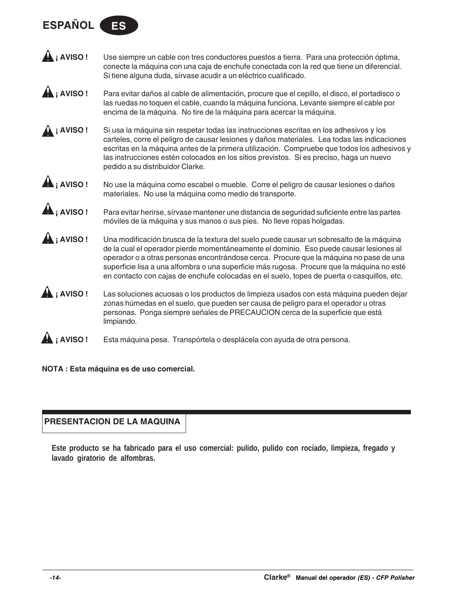# **ESPAÑOL**



**¡ AVISO !** Para evitar daños al cable de alimentación, procure que el cepillo, el disco, el portadisco o las ruedas no toquen el cable, cuando la máquina funciona. Levante siempre el cable por encima de la máquina. No tire de la máquina para acercar la máquina.

**A ; AVISO !** Si usa la máquina sin respetar todas las instrucciones escritas en los adhesivos y los carteles, corre el peligro de causar lesiones y daños materiales. Lea todas las indicaciones escritas en la máquina antes de la primera utilización. Compruebe que todos los adhesivos y las instrucciones estén colocados en los sitios previstos. Si es preciso, haga un nuevo pedido a su distribuidor Clarke.



**A i AVISO !** No use la máquina como escabel o mueble. Corre el peligro de causar lesiones o daños materiales. No use la máquina como medio de transporte.

**¡ AVISO !** Para evitar herirse, sírvase mantener une distancia de seguridad suficiente entre las partes móviles de la máquina y sus manos o sus pies. No lleve ropas holgadas.

**¡ AVISO !** Una modificación brusca de la textura del suelo puede causar un sobresalto de la máquina de la cual el operador pierde momentáneamente el dominio. Eso puede causar lesiones al operador o a otras personas encontrándose cerca. Procure que la máquina no pase de una superficie lisa a una alfombra o una superficie más rugosa. Procure que la máquina no esté en contacto con cajas de enchufe colocadas en el suelo, topes de puerta o casquillos, etc.

**¡ AVISO !** Las soluciones acuosas o los productos de limpieza usados con esta máquina pueden dejar zonas húmedas en el suelo, que pueden ser causa de peligro para el operador u otras personas. Ponga siempre señales de PRECAUCION cerca de la superficie que está limpiando.



**NOTA : Esta máquina es de uso comercial.**

# **PRESENTACION DE LA MAQUINA**

**Este producto se ha fabricado para el uso comercial: pulido, pulido con rociado, limpieza, fregado y lavado giratorio de alfombras.**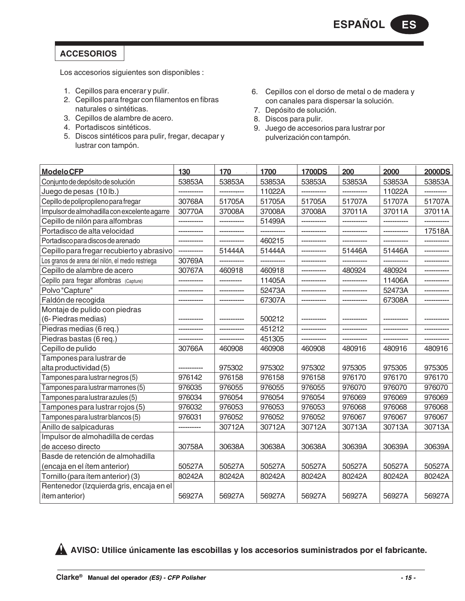# **ACCESORIOS**

Los accesorios siguientes son disponibles :

- 1. Cepillos para encerar y pulir.
- 2. Cepillos para fregar con filamentos en fibras naturales o sintéticas.
- 3. Cepillos de alambre de acero.
- 4. Portadiscos sintéticos.
- 5. Discos sintéticos para pulir, fregar, decapar y lustrar con tampón.
- 6. Cepillos con el dorso de metal o de madera y con canales para dispersar la solución.
- 7. Depósito de solución.
- 8. Discos para pulir.
- 9. Juego de accesorios para lustrar por pulverización con tampón.

| <b>ModeloCFP</b>                                  | 130         | 170         | 1700   | <b>1700DS</b> | 200         | 2000        | <b>2000DS</b> |
|---------------------------------------------------|-------------|-------------|--------|---------------|-------------|-------------|---------------|
| Conjunto de depósito de solución                  | 53853A      | 53853A      | 53853A | 53853A        | 53853A      | 53853A      | 53853A        |
| Juego de pesas (10 lb.)                           |             | ----------- | 11022A |               | -----       | 11022A      |               |
| Cepillo de polipropileno para fregar              | 30768A      | 51705A      | 51705A | 51705A        | 51707A      | 51707A      | 51707A        |
| Impulsor de almohadilla con excelente agarre      | 30770A      | 37008A      | 37008A | 37008A        | 37011A      | 37011A      | 37011A        |
| Cepillo de nilón para alfombras                   |             | ----------- | 51499A | -----------   |             | ----------- |               |
| Portadisco de alta velocidad                      |             |             |        |               |             |             | 17518A        |
| Portadisco para discos de arenado                 |             |             | 460215 |               |             |             |               |
| Cepillo para fregar recubierto y abrasivo         |             | 51444A      | 51444A |               | 51446A      | 51446A      |               |
| Los granos de arena del nilón, el medio restriega | 30769A      |             |        |               |             |             |               |
| Cepillo de alambre de acero                       | 30767A      | 460918      | 460918 | -----------   | 480924      | 480924      |               |
| Cepillo para fregar alfombras (Capture)           |             | ----------  | 11405A |               | ----------- | 11406A      |               |
| Polvo "Capture"                                   |             |             | 52473A |               |             | 52473A      |               |
| Faldón de recogida                                |             | ----------- | 67307A |               |             | 67308A      | -----------   |
| Montaje de pulido con piedras                     |             |             |        |               |             |             |               |
| (6- Piedras medias)                               |             |             | 500212 |               |             |             |               |
| Piedras medias (6 req.)                           |             |             | 451212 |               |             |             |               |
| Piedras bastas (6 req.)                           | ----------- | ----------- | 451305 | -----------   | ----------- | ----------- |               |
| Cepillo de pulido                                 | 30766A      | 460908      | 460908 | 460908        | 480916      | 480916      | 480916        |
| Tampones para lustrar de                          |             |             |        |               |             |             |               |
| alta productividad (5)                            |             | 975302      | 975302 | 975302        | 975305      | 975305      | 975305        |
| Tampones para lustrar negros (5)                  | 976142      | 976158      | 976158 | 976158        | 976170      | 976170      | 976170        |
| Tampones para lustrar marrones (5)                | 976035      | 976055      | 976055 | 976055        | 976070      | 976070      | 976070        |
| Tampones para lustrar azules (5)                  | 976034      | 976054      | 976054 | 976054        | 976069      | 976069      | 976069        |
| Tampones para lustrar rojos (5)                   | 976032      | 976053      | 976053 | 976053        | 976068      | 976068      | 976068        |
| Tampones para lustrar blancos (5)                 | 976031      | 976052      | 976052 | 976052        | 976067      | 976067      | 976067        |
| Anillo de salpicaduras                            |             | 30712A      | 30712A | 30712A        | 30713A      | 30713A      | 30713A        |
| Impulsor de almohadilla de cerdas                 |             |             |        |               |             |             |               |
| de acceso directo                                 | 30758A      | 30638A      | 30638A | 30638A        | 30639A      | 30639A      | 30639A        |
| Basde de retención de almohadilla                 |             |             |        |               |             |             |               |
| (encaja en el ítem anterior)                      | 50527A      | 50527A      | 50527A | 50527A        | 50527A      | 50527A      | 50527A        |
| Tornillo (para ítem anterior) (3)                 | 80242A      | 80242A      | 80242A | 80242A        | 80242A      | 80242A      | 80242A        |
| Rentenedor (Izquierda gris, encaja en el          |             |             |        |               |             |             |               |
| ítem anterior)                                    | 56927A      | 56927A      | 56927A | 56927A        | 56927A      | 56927A      | 56927A        |
|                                                   |             |             |        |               |             |             |               |

**AVISO: Utilice únicamente las escobillas y los accesorios suministrados por el fabricante.**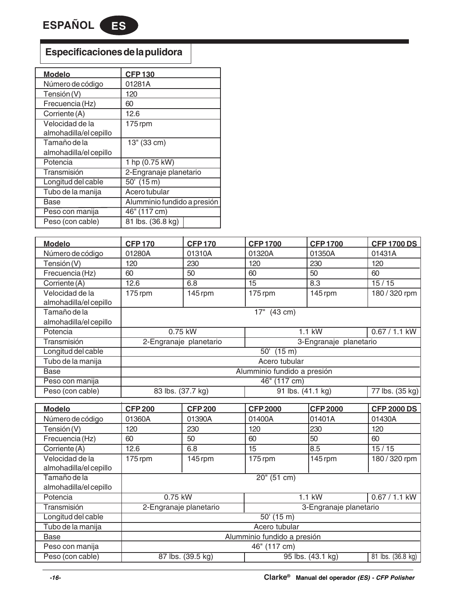**ESPAÑOL ES**

# **Especificaciones de la pulidora**

| <b>Modelo</b>          | <b>CFP130</b>               |
|------------------------|-----------------------------|
| Número de código       | 01281A                      |
| Tensión (V)            | 120                         |
| Frecuencia (Hz)        | 60                          |
| Corriente (A)          | 12.6                        |
| Velocidad de la        | 175 rpm                     |
| almohadilla/el cepillo |                             |
| Tamaño de la           | 13" (33 cm)                 |
| almohadilla/el cepillo |                             |
| Potencia               | 1 hp (0.75 kW)              |
| Transmisión            | 2-Engranaje planetario      |
| Longitud del cable     | 50' (15 m)                  |
| Tubo de la manija      | Acero tubular               |
| Base                   | Alumminio fundido a presión |
| Peso con manija        | 46" (117 cm)                |
| Peso (con cable)       | 81 lbs. (36.8 kg)           |

| <b>Modelo</b>          | <b>CFP 170</b>              | <b>CFP170</b>          | <b>CFP1700</b>            | <b>CFP1700</b>         | <b>CFP 1700 DS</b> |  |
|------------------------|-----------------------------|------------------------|---------------------------|------------------------|--------------------|--|
| Número de código       | 01280A                      | 01310A                 | 01320A                    | 01350A                 | 01431A             |  |
| Tensión (V)            | 120                         | 230                    | 120                       | 230                    | 120                |  |
| Frecuencia (Hz)        | 60                          | 50                     | 60                        | 50                     | 60                 |  |
| Corriente (A)          | 12.6                        | 6.8                    | 15                        | 8.3                    | 15/15              |  |
| Velocidad de la        | $175$ rpm                   | 145 rpm                | $175$ rpm                 | 145 rpm                | 180 / 320 rpm      |  |
| almohadilla/el cepillo |                             |                        |                           |                        |                    |  |
| Tamaño de la           | 17"<br>$(43 \text{ cm})$    |                        |                           |                        |                    |  |
| almohadilla/el cepillo |                             |                        |                           |                        |                    |  |
| Potencia               |                             | 0.75 kW                |                           | 1.1 kW                 | 0.67 / 1.1 kW      |  |
| <b>Transmisión</b>     |                             | 2-Engranaje planetario |                           | 3-Engranaje planetario |                    |  |
| Longitud del cable     |                             |                        | 50'<br>$(15 \; \text{m})$ |                        |                    |  |
| Tubo de la manija      | Acero tubular               |                        |                           |                        |                    |  |
| <b>Base</b>            | Alumminio fundido a presión |                        |                           |                        |                    |  |
| Peso con manija        | 46" (117 cm)                |                        |                           |                        |                    |  |
| Peso (con cable)       | 83 lbs. (37.7 kg)           |                        | 91 lbs. (41.1 kg)         |                        | 77 lbs. (35 kg)    |  |

| <b>Modelo</b>                             | <b>CFP 200</b> | <b>CFP 200</b>              | <b>CFP 2000</b> | <b>CFP 2000</b>        | <b>CFP 2000 DS</b>             |  |  |
|-------------------------------------------|----------------|-----------------------------|-----------------|------------------------|--------------------------------|--|--|
| Número de código                          | 01360A         | 01390A                      | 01400A          | l01401A                | 01430A                         |  |  |
| Tensión (V)                               | 120            | 230                         | 120             | 230                    | 120                            |  |  |
| Frecuencia (Hz)                           | 60             | 50                          | 60              | 50                     | 60                             |  |  |
| Corriente (A)                             | 12.6           | 6.8                         | 15              | 8.5                    | 15/15                          |  |  |
| Velocidad de la<br>almohadilla/el cepillo | 175 rpm        | 145 rpm                     | $175$ rpm       | $145$ rpm              | 180 / 320 rpm                  |  |  |
| Tamaño de la                              |                | $20''$ (51 cm)              |                 |                        |                                |  |  |
| almohadilla/el cepillo                    |                |                             |                 |                        |                                |  |  |
| Potencia                                  | 0.75 kW        |                             |                 | $1.1$ kW               | 0.67 / 1.1 kW                  |  |  |
| Transmisión                               |                | 2-Engranaje planetario      |                 | 3-Engranaje planetario |                                |  |  |
| Longitud del cable                        |                |                             | $50'$ (15 m)    |                        |                                |  |  |
| Tubo de la manija                         |                |                             | Acero tubular   |                        |                                |  |  |
| Base                                      |                | Alumminio fundido a presión |                 |                        |                                |  |  |
| Peso con manija                           |                | 46" (117 cm)                |                 |                        |                                |  |  |
| Peso (con cable)                          |                | 87 lbs. (39.5 kg)           |                 | 95 lbs. (43.1 kg)      | $\overline{81}$ lbs. (36.8 kg) |  |  |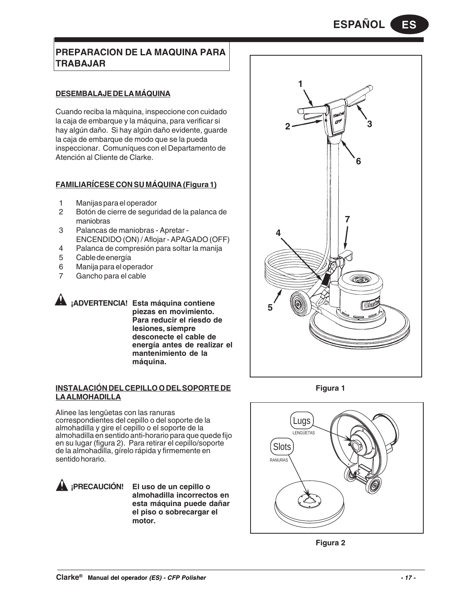# **PREPARACION DE LA MAQUINA PARA TRABAJAR**

# **DESEMBALAJE DE LA MÁQUINA**

Cuando reciba la màquina, inspeccione con cuidado la caja de embarque y la máquina, para verificar si hay algún daño. Si hay algún daño evidente, guarde la caja de embarque de modo que se la pueda inspeccionar. Comuníques con el Departamento de Atención al Cliente de Clarke.

# **FAMILIARÍCESE CON SU MÁQUINA (Figura 1)**

- 1 Manijas para el operador
- 2 Botón de cierre de seguridad de la palanca de maniobras
- 3 Palancas de maniobras Apretar ENCENDIDO (ON) / Aflojar - APAGADO (OFF)
- 4 Palanca de compresión para soltar la manija
- 5 Cable de energía
- 6 Manija para el operador<br>7 Gancho para el cable
- Gancho para el cable

**¡ADVERTENCIA! Esta máquina contiene piezas en movimiento. Para reducir el riesdo de lesiones, siempre desconecte el cable de energía antes de realizar el mantenimiento de la máquina.**

# **INSTALACIÓN DEL CEPILLO O DEL SOPORTE DE LA ALMOHADILLA**

Alinee las lengüetas con las ranuras correspondientes del cepillo o del soporte de la almohadilla y gire el cepillo o el soporte de la almohadilla en sentido anti-horario para que quede fijo en su lugar (figura 2). Para retirar el cepillo/soporte de la almohadilla, gírelo rápida y firmemente en sentido horario.

**¡PRECAUCIÓN! El uso de un cepillo o almohadilla incorrectos en esta máquina puede dañar el piso o sobrecargar el motor.**



**Figura 1**



**Figura 2**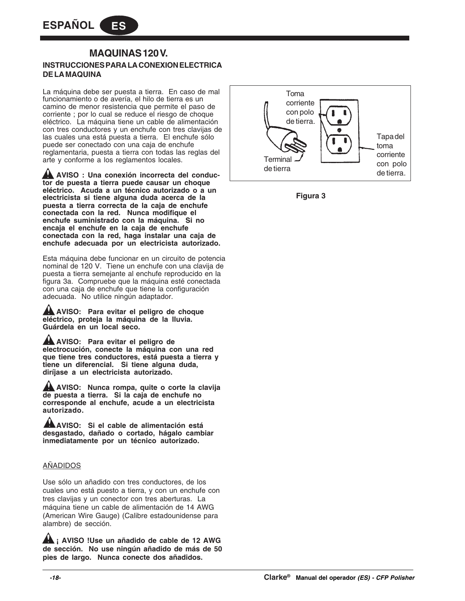# **INSTRUCCIONES PARA LA CONEXION ELECTRICA DE LA MAQUINA MAQUINAS 120 V.**

La máquina debe ser puesta a tierra. En caso de mal funcionamiento o de avería, el hilo de tierra es un camino de menor resistencia que permite el paso de corriente ; por lo cual se reduce el riesgo de choque eléctrico. La máquina tiene un cable de alimentación con tres conductores y un enchufe con tres clavijas de las cuales una está puesta a tierra. El enchufe sólo puede ser conectado con una caja de enchufe reglamentaria, puesta a tierra con todas las reglas del arte y conforme a los reglamentos locales.

**AVISO : Una conexión incorrecta del conductor de puesta a tierra puede causar un choque eléctrico. Acuda a un técnico autorizado o a un electricista si tiene alguna duda acerca de la puesta a tierra correcta de la caja de enchufe conectada con la red. Nunca modifique el enchufe suministrado con la máquina. Si no encaja el enchufe en la caja de enchufe conectada con la red, haga instalar una caja de enchufe adecuada por un electricista autorizado.**

Esta máquina debe funcionar en un circuito de potencia nominal de 120 V. Tiene un enchufe con una clavija de puesta a tierra semejante al enchufe reproducido en la figura 3a. Compruebe que la máquina esté conectada con una caja de enchufe que tiene la configuración adecuada. No utilice ningún adaptador.

**AVISO: Para evitar el peligro de choque eléctrico, proteja la máquina de la lluvia. Guárdela en un local seco.**

**AVISO: Para evitar el peligro de electrocución, conecte la máquina con una red que tiene tres conductores, está puesta a tierra y tiene un diferencial. Si tiene alguna duda, diríjase a un electricista autorizado.**

**AVISO: Nunca rompa, quite o corte la clavija de puesta a tierra. Si la caja de enchufe no corresponde al enchufe, acude a un electricista autorizado.**

**AVISO: Si el cable de alimentación está desgastado, dañado o cortado, hágalo cambiar inmediatamente por un técnico autorizado.**

# AÑADIDOS

Use sólo un añadido con tres conductores, de los cuales uno está puesto a tierra, y con un enchufe con tres clavijas y un conector con tres aberturas. La máquina tiene un cable de alimentación de 14 AWG (American Wire Gauge) (Calibre estadounidense para alambre) de sección.

**AL** i AVISO !Use un añadido de cable de 12 AWG **de sección. No use ningún añadido de más de 50 pies de largo. Nunca conecte dos añadidos.**



**Figura 3**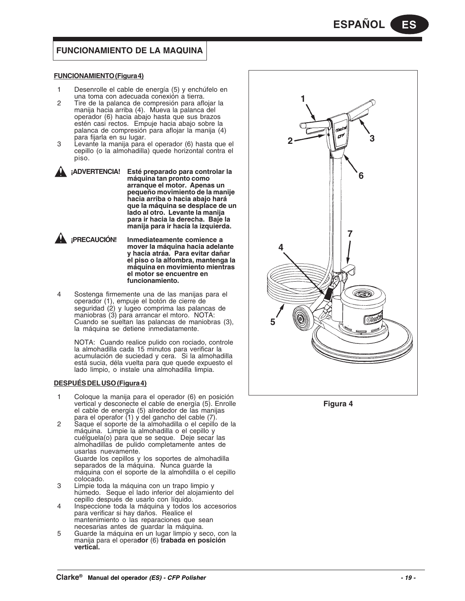# **FUNCIONAMIENTO DE LA MAQUINA**

#### **FUNCIONAMIENTO (Figura 4)**

- 1 Desenrolle el cable de energía (5) y enchúfelo en una toma con adecuada conexión a tierra.
- 2 Tire de la palanca de compresión para aflojar la manija hacia arriba (4). Mueva la palanca del operador (6) hacia abajo hasta que sus brazos estén casi rectos. Empuje hacia abajo sobre la palanca de compresión para aflojar la manija (4) para fijarla en su lugar.
- 3 Levante la manija para el operador (6) hasta que el cepillo (o la almohadilla) quede horizontal contra el piso.
	- **¡ADVERTENCIA! Esté preparado para controlar la máquina tan pronto como arranque el motor. Apenas un pequeño movimiento de la manije hacia arriba o hacia abajo hará que la máquina se desplace de un lado al otro. Levante la manija para ir hacia la derecha. Baje la manija para ir hacia la izquierda.**



4 Sostenga firmemente una de las manijas para el operador (1), empuje el botón de cierre de seguridad (2) y lugeo comprima las palancas de maniobras (3) para arrancar el mtoro. NOTA: Cuando se sueltan las palancas de maniobras (3), la máquina se detiene inmediatamente.

NOTA: Cuando realice pulido con rociado, controle la almohadilla cada 15 minutos para verificar la acumulación de suciedad y cera. Si la almohadilla está sucia, déla vuelta para que quede expuesto el lado limpio, o instale una almohadilla limpia.

#### **DESPUÉS DEL USO (Figura 4)**

- 1 Coloque la manija para el operador (6) en posición vertical y desconecte el cable de energía (5). Enrolle el cable de energía (5) alrededor de las manijas para el operafor (1) y del gancho del cable (7).
- 2 Saque el soporte de la almohadilla o el cepillo de la máquina. Limpie la almohadilla o el cepillo y cuélguela(o) para que se seque. Deje secar las almohadillas de pulido completamente antes de usarlas nuevamente. Guarde los cepillos y los soportes de almohadilla separados de la máquina. Nunca guarde la máquina con el soporte de la almohdilla o el cepillo colocado.
- 3 Limpie toda la máquina con un trapo limpio y húmedo. Seque el lado inferior del alojamiento del cepillo después de usarlo con líquido.
- 4 Inspeccione toda la máquina y todos los accesorios para verificar si hay daños. Realice el mantenimiento o las reparaciones que sean necesarias antes de guardar la máquina.
- 5 Guarde la máquina en un lugar limpio y seco, con la manija para el opera**dor** (6) **trabada en posición vertical.**



**Figura 4**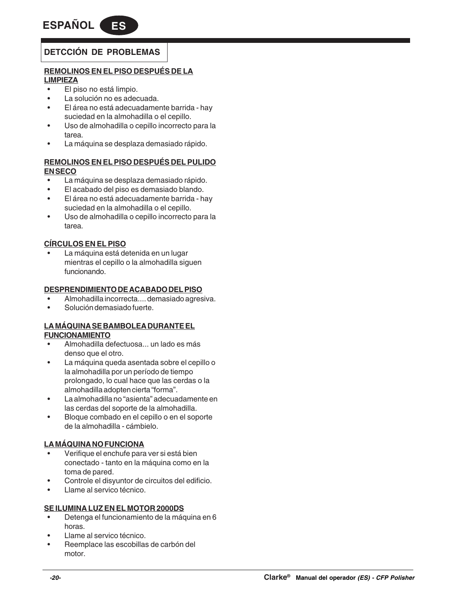# **DETCCIÓN DE PROBLEMAS**

# **REMOLINOS EN EL PISO DESPUÉS DE LA LIMPIEZA**

- El piso no está limpio.
- La solución no es adecuada.
- El área no está adecuadamente barrida hay suciedad en la almohadilla o el cepillo.
- Uso de almohadilla o cepillo incorrecto para la tarea.
- La máquina se desplaza demasiado rápido.

# **REMOLINOS EN EL PISO DESPUÉS DEL PULIDO EN SECO**

- La máquina se desplaza demasiado rápido.
- El acabado del piso es demasiado blando.
- El área no está adecuadamente barrida hay suciedad en la almohadilla o el cepillo.
- Uso de almohadilla o cepillo incorrecto para la tarea.

# **CÍRCULOS EN EL PISO**

• La máquina está detenida en un lugar mientras el cepillo o la almohadilla siguen funcionando.

# **DESPRENDIMIENTO DE ACABADO DEL PISO**

- Almohadilla incorrecta.... demasiado agresiva.
- Solución demasiado fuerte.

# **LA MÁQUINA SE BAMBOLEA DURANTE EL FUNCIONAMIENTO**

- Almohadilla defectuosa... un lado es más denso que el otro.
- La máquina queda asentada sobre el cepillo o la almohadilla por un período de tiempo prolongado, lo cual hace que las cerdas o la almohadilla adopten cierta "forma".
- La almohadilla no "asienta" adecuadamente en las cerdas del soporte de la almohadilla.
- Bloque combado en el cepillo o en el soporte de la almohadilla - cámbielo.

# **LA MÁQUINA NO FUNCIONA**

- Verifique el enchufe para ver si está bien conectado - tanto en la máquina como en la toma de pared.
- Controle el disyuntor de circuitos del edificio.
- Llame al servico técnico.

# **SE ILUMINA LUZ EN EL MOTOR 2000DS**

- Detenga el funcionamiento de la máquina en 6 horas.
- Llame al servico técnico.
- Reemplace las escobillas de carbón del motor.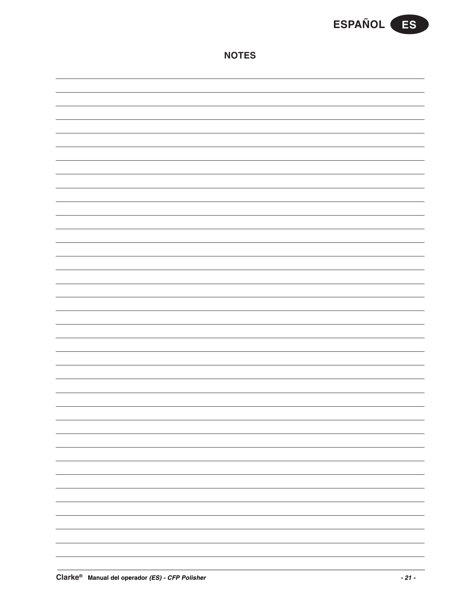

|--|--|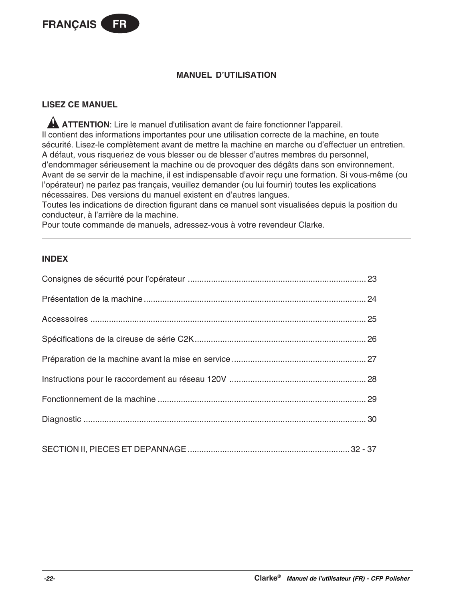

# **MANUEL D'UTILISATION**

# **LISEZ CE MANUEL**

**A ATTENTION:** Lire le manuel d'utilisation avant de faire fonctionner l'appareil. Il contient des informations importantes pour une utilisation correcte de la machine, en toute sécurité. Lisez-le complètement avant de mettre la machine en marche ou d'effectuer un entretien. A défaut, vous risqueriez de vous blesser ou de blesser d'autres membres du personnel, d'endommager sérieusement la machine ou de provoquer des dégâts dans son environnement. Avant de se servir de la machine, il est indispensable d'avoir reçu une formation. Si vous-même (ou l'opérateur) ne parlez pas français, veuillez demander (ou lui fournir) toutes les explications nécessaires. Des versions du manuel existent en d'autres langues.

Toutes les indications de direction figurant dans ce manuel sont visualisées depuis la position du conducteur, à l'arrière de la machine.

Pour toute commande de manuels, adressez-vous à votre revendeur Clarke.

# **INDEX**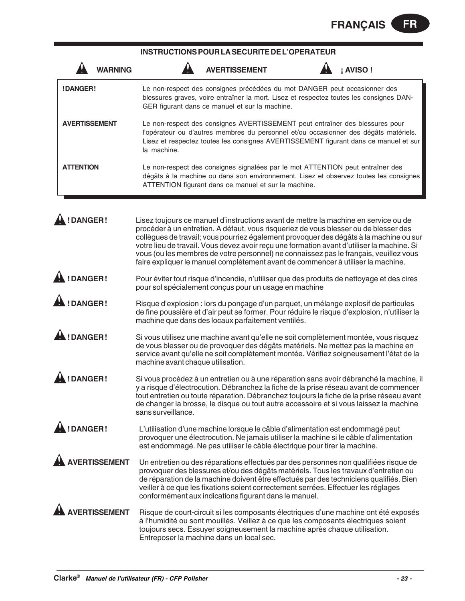# **INSTRUCTIONS POUR LA SECURITE DE L'OPERATEUR**

| WARNING              |                                   | <b>AVERTISSEMENT</b>                                                                                                                                                                                                                                                                                                                                                                                                                                                                                                                             | <b>AVISO!</b> |
|----------------------|-----------------------------------|--------------------------------------------------------------------------------------------------------------------------------------------------------------------------------------------------------------------------------------------------------------------------------------------------------------------------------------------------------------------------------------------------------------------------------------------------------------------------------------------------------------------------------------------------|---------------|
| !DANGER!             |                                   | Le non-respect des consignes précédées du mot DANGER peut occasionner des<br>blessures graves, voire entraîner la mort. Lisez et respectez toutes les consignes DAN-<br>GER figurant dans ce manuel et sur la machine.                                                                                                                                                                                                                                                                                                                           |               |
| <b>AVERTISSEMENT</b> | la machine.                       | Le non-respect des consignes AVERTISSEMENT peut entraîner des blessures pour<br>l'opérateur ou d'autres membres du personnel et/ou occasionner des dégâts matériels.<br>Lisez et respectez toutes les consignes AVERTISSEMENT figurant dans ce manuel et sur                                                                                                                                                                                                                                                                                     |               |
| <b>ATTENTION</b>     |                                   | Le non-respect des consignes signalées par le mot ATTENTION peut entraîner des<br>dégâts à la machine ou dans son environnement. Lisez et observez toutes les consignes<br>ATTENTION figurant dans ce manuel et sur la machine.                                                                                                                                                                                                                                                                                                                  |               |
| !DANGER!             |                                   | Lisez toujours ce manuel d'instructions avant de mettre la machine en service ou de<br>procéder à un entretien. A défaut, vous risqueriez de vous blesser ou de blesser des<br>collègues de travail; vous pourriez également provoquer des dégâts à la machine ou sur<br>votre lieu de travail. Vous devez avoir reçu une formation avant d'utiliser la machine. Si<br>vous (ou les membres de votre personnel) ne connaissez pas le français, veuillez vous<br>faire expliquer le manuel complètement avant de commencer à utiliser la machine. |               |
| !DANGER!             |                                   | Pour éviter tout risque d'incendie, n'utiliser que des produits de nettoyage et des cires<br>pour sol spécialement conçus pour un usage en machine                                                                                                                                                                                                                                                                                                                                                                                               |               |
| !DANGER!             |                                   | Risque d'explosion : lors du ponçage d'un parquet, un mélange explosif de particules<br>de fine poussière et d'air peut se former. Pour réduire le risque d'explosion, n'utiliser la<br>machine que dans des locaux parfaitement ventilés.                                                                                                                                                                                                                                                                                                       |               |
| !DANGER!             | machine avant chaque utilisation. | Si vous utilisez une machine avant qu'elle ne soit complètement montée, vous risquez<br>de vous blesser ou de provoquer des dégâts matériels. Ne mettez pas la machine en<br>service avant qu'elle ne soit complètement montée. Vérifiez soigneusement l'état de la                                                                                                                                                                                                                                                                              |               |
| !DANGER!             | sans surveillance.                | Si vous procédez à un entretien ou à une réparation sans avoir débranché la machine, il<br>y a risque d'électrocution. Débranchez la fiche de la prise réseau avant de commencer<br>tout entretien ou toute réparation. Débranchez toujours la fiche de la prise réseau avant<br>de changer la brosse, le disque ou tout autre accessoire et si vous laissez la machine                                                                                                                                                                          |               |
| !DANGER!             |                                   | L'utilisation d'une machine lorsque le câble d'alimentation est endommagé peut<br>provoquer une électrocution. Ne jamais utiliser la machine si le câble d'alimentation<br>est endommagé. Ne pas utiliser le câble électrique pour tirer la machine.                                                                                                                                                                                                                                                                                             |               |
| <b>AVERTISSEMENT</b> |                                   | Un entretien ou des réparations effectués par des personnes non qualifiées risque de<br>provoquer des blessures et/ou des dégâts matériels. Tous les travaux d'entretien ou<br>de réparation de la machine doivent être effectués par des techniciens qualifiés. Bien<br>veiller à ce que les fixations soient correctement serrées. Effectuer les réglages<br>conformément aux indications figurant dans le manuel.                                                                                                                             |               |
| VERTISSEMENT         |                                   | Risque de court-circuit si les composants électriques d'une machine ont été exposés<br>à l'humidité ou sont mouillés. Veillez à ce que les composants électriques soient<br>toujours secs. Essuyer soigneusement la machine après chaque utilisation.<br>Entreposer la machine dans un local sec.                                                                                                                                                                                                                                                |               |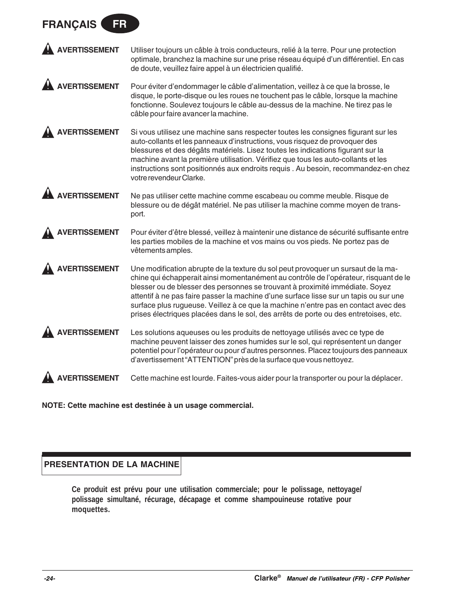# **FRANÇAIS FR**

| A AVERTISSEMENT | Utiliser toujours un câble à trois conducteurs, relié à la terre. Pour une protection |
|-----------------|---------------------------------------------------------------------------------------|
|                 | optimale, branchez la machine sur une prise réseau équipé d'un différentiel. En cas   |
|                 | de doute, veuillez faire appel à un électricien qualifié.                             |

**AVERTISSEMENT** Pour éviter d'endommager le câble d'alimentation, veillez à ce que la brosse, le disque, le porte-disque ou les roues ne touchent pas le câble, lorsque la machine fonctionne. Soulevez toujours le câble au-dessus de la machine. Ne tirez pas le câble pour faire avancer la machine.

**AVERTISSEMENT** Si vous utilisez une machine sans respecter toutes les consignes figurant sur les auto-collants et les panneaux d'instructions, vous risquez de provoquer des blessures et des dégâts matériels. Lisez toutes les indications figurant sur la machine avant la première utilisation. Vérifiez que tous les auto-collants et les instructions sont positionnés aux endroits requis . Au besoin, recommandez-en chez votre revendeur Clarke.

**AVERTISSEMENT** Ne pas utiliser cette machine comme escabeau ou comme meuble. Risque de blessure ou de dégât matériel. Ne pas utiliser la machine comme moyen de transport.

**AVERTISSEMENT** Pour éviter d'être blessé, veillez à maintenir une distance de sécurité suffisante entre les parties mobiles de la machine et vos mains ou vos pieds. Ne portez pas de vêtements amples.

**AVERTISSEMENT** Une modification abrupte de la texture du sol peut provoquer un sursaut de la machine qui échapperait ainsi momentanément au contrôle de l'opérateur, risquant de le blesser ou de blesser des personnes se trouvant à proximité immédiate. Soyez attentif à ne pas faire passer la machine d'une surface lisse sur un tapis ou sur une surface plus rugueuse. Veillez à ce que la machine n'entre pas en contact avec des prises électriques placées dans le sol, des arrêts de porte ou des entretoises, etc.

**AVERTISSEMENT** Les solutions aqueuses ou les produits de nettoyage utilisés avec ce type de machine peuvent laisser des zones humides sur le sol, qui représentent un danger potentiel pour l'opérateur ou pour d'autres personnes. Placez toujours des panneaux d'avertissement "ATTENTION" près de la surface que vous nettoyez.

**AVERTISSEMENT** Cette machine est lourde. Faites-vous aider pour la transporter ou pour la déplacer.

**NOTE: Cette machine est destinée à un usage commercial.**

# **PRESENTATION DE LA MACHINE**

**Ce produit est prévu pour une utilisation commerciale; pour le polissage, nettoyage/ polissage simultané, récurage, décapage et comme shampouineuse rotative pour moquettes.**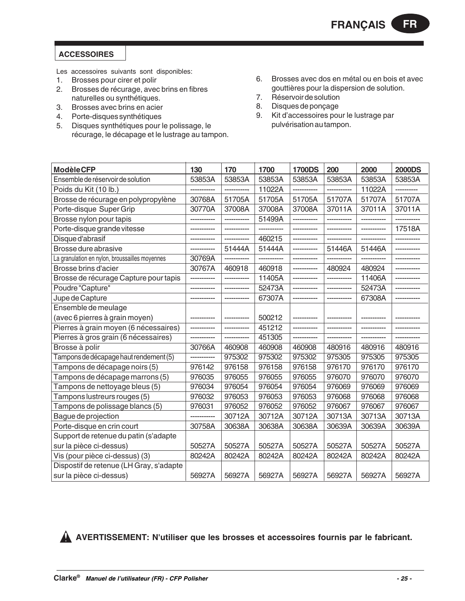# **ACCESSOIRES**

Les accessoires suivants sont disponibles:

- 1. Brosses pour cirer et polir
- 2. Brosses de récurage, avec brins en fibres naturelles ou synthétiques.
- 3. Brosses avec brins en acier
- 4. Porte-disques synthétiques
- 5. Disques synthétiques pour le polissage, le récurage, le décapage et le lustrage au tampon.
- 6. Brosses avec dos en métal ou en bois et avec gouttières pour la dispersion de solution.
- 7. Réservoir de solution
- 8. Disques de ponçage<br>9. Kit d'accessoires pou
- 9. Kit d'accessoires pour le lustrage par pulvérisation au tampon.

| <b>ModèleCFP</b>                               | 130          | 170          | 1700         | <b>1700DS</b> | 200          | 2000         | <b>2000DS</b> |
|------------------------------------------------|--------------|--------------|--------------|---------------|--------------|--------------|---------------|
| Ensemble de réservoir de solution              | 53853A       | 53853A       | 53853A       | 53853A        | 53853A       | 53853A       | 53853A        |
| Poids du Kit (10 lb.)                          |              |              | 11022A       |               | -----------  | 11022A       |               |
| Brosse de récurage en polypropylène            | 30768A       | 51705A       | 51705A       | 51705A        | 51707A       | 51707A       | 51707A        |
| Porte-disque Super Grip                        | 30770A       | 37008A       | 37008A       | 37008A        | 37011A       | 37011A       | 37011A        |
| Brosse nylon pour tapis                        |              | -----------  | 51499A       |               |              |              |               |
| Porte-disque grande vitesse                    | ------------ | ------------ | ------------ | -----------   | -----------  | ------------ | 17518A        |
| Disque d'abrasif                               |              | -----------  | 460215       | -----------   |              |              |               |
| Brosse dure abrasive                           |              | 51444A       | 51444A       |               | 51446A       | 51446A       |               |
| La granulation en nylon, broussailles moyennes | 30769A       | ------------ | ------------ |               |              |              |               |
| Brosse brins d'acier                           | 30767A       | 460918       | 460918       | -----------   | 480924       | 480924       |               |
| Brosse de récurage Capture pour tapis          | -----------  | ------------ | 11405A       | ------------  | ------------ | 11406A       |               |
| Poudre "Capture"                               |              | -----------  | 52473A       | -----------   | ------------ | 52473A       |               |
| Jupe de Capture                                | -----------  | ------------ | 67307A       | -----------   | -----------  | 67308A       | -----------   |
| Ensemble de meulage                            |              |              |              |               |              |              |               |
| (avec 6 pierres à grain moyen)                 |              |              | 500212       |               |              |              |               |
| Pierres à grain moyen (6 nécessaires)          |              | -----------  | 451212       | -----------   |              |              |               |
| Pierres à gros grain (6 nécessaires)           |              | -----------  | 451305       | -----------   |              |              |               |
| Brosse à polir                                 | 30766A       | 460908       | 460908       | 460908        | 480916       | 480916       | 480916        |
| Tampons de décapage haut rendement (5)         |              | 975302       | 975302       | 975302        | 975305       | 975305       | 975305        |
| Tampons de décapage noirs (5)                  | 976142       | 976158       | 976158       | 976158        | 976170       | 976170       | 976170        |
| Tampons de décapage marrons (5)                | 976035       | 976055       | 976055       | 976055        | 976070       | 976070       | 976070        |
| Tampons de nettoyage bleus (5)                 | 976034       | 976054       | 976054       | 976054        | 976069       | 976069       | 976069        |
| Tampons lustreurs rouges (5)                   | 976032       | 976053       | 976053       | 976053        | 976068       | 976068       | 976068        |
| Tampons de polissage blancs (5)                | 976031       | 976052       | 976052       | 976052        | 976067       | 976067       | 976067        |
| Bague de projection                            | -----------  | 30712A       | 30712A       | 30712A        | 30713A       | 30713A       | 30713A        |
| Porte-disque en crin court                     | 30758A       | 30638A       | 30638A       | 30638A        | 30639A       | 30639A       | 30639A        |
| Support de retenue du patin (s'adapte          |              |              |              |               |              |              |               |
| sur la pièce ci-dessus)                        | 50527A       | 50527A       | 50527A       | 50527A        | 50527A       | 50527A       | 50527A        |
| Vis (pour pièce ci-dessus) (3)                 | 80242A       | 80242A       | 80242A       | 80242A        | 80242A       | 80242A       | 80242A        |
| Dispostif de retenue (LH Gray, s'adapte        |              |              |              |               |              |              |               |
| sur la pièce ci-dessus)                        | 56927A       | 56927A       | 56927A       | 56927A        | 56927A       | 56927A       | 56927A        |

**AVERTISSEMENT: N'utiliser que les brosses et accessoires fournis par le fabricant.**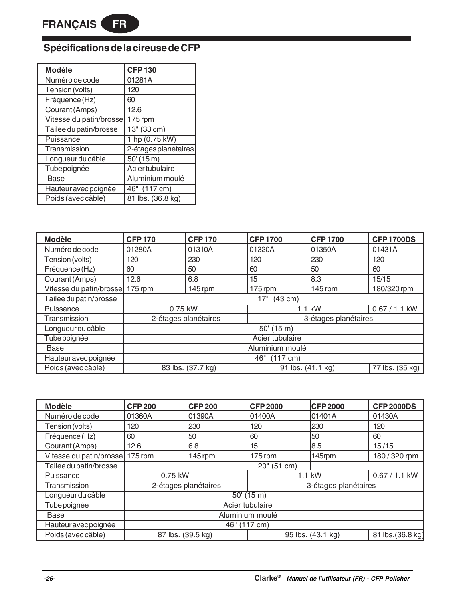# **Spécifications de la cireuse de CFP**

| <u>Modèle</u>           | <b>CFP130</b>         |
|-------------------------|-----------------------|
| Numéro de code          | 01281A                |
| Tension (volts)         | 120                   |
| Fréquence (Hz)          | 60                    |
| Courant (Amps)          | 12.6                  |
| Vitesse du patin/brosse | 175 rpm               |
| Tailee du patin/brosse  | 13" (33 cm)           |
| Puissance               | 1 hp (0.75 kW)        |
| Transmission            | 2-étages planétaires  |
| Longueur du câble       | $\overline{50'}(15m)$ |
| Tube poignée            | Aciertubulaire        |
| Base                    | Aluminium moulé       |
| Hauteur avec poignée    | 46" (117 cm)          |
| Poids (avec câble)      | 81 lbs. (36.8 kg)     |

| <b>Modèle</b>           | <b>CFP170</b>                                | <b>CFP170</b>                          | <b>CFP1700</b>  | <b>CFP1700</b> | <b>CFP1700DS</b> |  |  |
|-------------------------|----------------------------------------------|----------------------------------------|-----------------|----------------|------------------|--|--|
| Numéro de code          | 01280A                                       | 01310A                                 | 01320A          | 01350A         | 01431A           |  |  |
| Tension (volts)         | 120                                          | 230                                    | 120             | 230            | 120              |  |  |
| Fréquence (Hz)          | 60                                           | 50                                     | 60              | 50             | 60               |  |  |
| Courant (Amps)          | 12.6                                         | 6.8                                    | 15              | 8.3            | 15/15            |  |  |
| Vitesse du patin/brosse | $175$ rpm                                    | $145$ rpm                              | 175 rpm         | $145$ rpm      | 180/320 rpm      |  |  |
| Tailee du patin/brosse  | $(43 \text{ cm})$<br>17"                     |                                        |                 |                |                  |  |  |
| Puissance               | $0.75$ kW<br>1.1 kW                          |                                        |                 |                | $0.67 / 1.1$ kW  |  |  |
| Transmission            | 2-étages planétaires<br>3-étages planétaires |                                        |                 |                |                  |  |  |
| Longueur du câble       |                                              | $50'$ (15 m)                           |                 |                |                  |  |  |
| Tube poignée            |                                              |                                        | Acier tubulaire |                |                  |  |  |
| Base                    | Aluminium moulé                              |                                        |                 |                |                  |  |  |
| Hauteur avec poignée    | 46" (117 cm)                                 |                                        |                 |                |                  |  |  |
| Poids (avec câble)      |                                              | 83 lbs. (37.7 kg)<br>91 lbs. (41.1 kg) |                 |                | 77 lbs. (35 kg)  |  |  |

| <b>Modèle</b>           | <b>CFP 200</b>    | <b>CFP 200</b>       | <b>CFP 2000</b>            | <b>CFP 2000</b>      | <b>CFP 2000DS</b> |
|-------------------------|-------------------|----------------------|----------------------------|----------------------|-------------------|
| Numéro de code          | 01360A            | 01390A               | 01400A                     | 01401A               | 01430A            |
| Tension (volts)         | 120               | 230                  | 120                        | 230                  | 120               |
| Fréquence (Hz)          | 60                | 50                   | 60                         | 50                   | 60                |
| Courant (Amps)          | 12.6              | 6.8                  | 15                         | 8.5                  | 15/15             |
| Vitesse du patin/brosse | 175 rpm           | 145 rpm              | 175 rpm                    | 145rpm               | 180 / 320 rpm     |
| Tailee du patin/brosse  |                   |                      | 20" (51 cm)                |                      |                   |
| Puissance               | 0.75 kW           |                      |                            | 1.1 kW               | 0.67 / 1.1 kW     |
| Transmission            |                   | 2-étages planétaires |                            | 3-étages planétaires |                   |
| Longueur du câble       |                   |                      | $50'$ (15 m)               |                      |                   |
| Tube poignée            |                   |                      | Acier tubulaire            |                      |                   |
| <b>Base</b>             |                   |                      | Aluminium moulé            |                      |                   |
| Hauteur avec poignée    |                   |                      | $\overline{46}$ " (117 cm) |                      |                   |
| Poids (avec câble)      | 87 lbs. (39.5 kg) |                      |                            | 95 lbs. (43.1 kg)    | 81 lbs.(36.8 kg)  |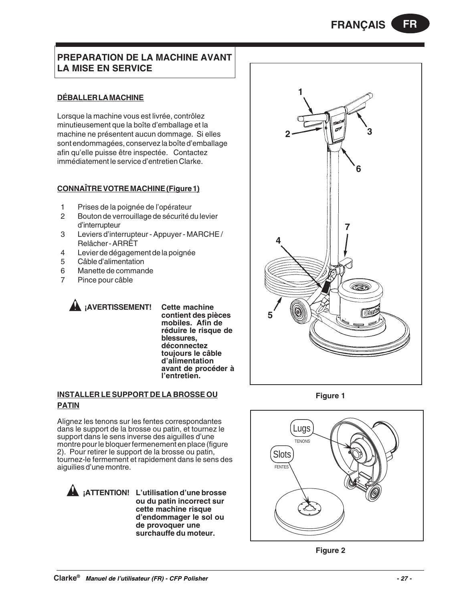# **PREPARATION DE LA MACHINE AVANT LA MISE EN SERVICE**

# **DÉBALLER LA MACHINE**

Lorsque la machine vous est livrée, contrôlez minutieusement que la boîte d'emballage et la machine ne présentent aucun dommage. Si elles sont endommagées, conservez la boîte d'emballage afin qu'elle puisse être inspectée. Contactez immédiatement le service d'entretien Clarke.

# **CONNAÎTRE VOTRE MACHINE (Figure 1)**

- 1 Prises de la poignée de l'opérateur
- 2 Bouton de verrouillage de sécurité du levier d'interrupteur
- 3 Leviers d'interrupteur Appuyer MARCHE / Relâcher - ARRÊT
- 4 Levier de dégagement de la poignée
- 5 Câble d'alimentation
- 6 Manette de commande<br>7 Pince pour câble
- Pince pour câble

**¡AVERTISSEMENT! Cette machine contient des pièces mobiles. Afin de réduire le risque de blessures, déconnectez toujours le câble d'alimentation avant de procéder à l'entretien.**

# **INSTALLER LE SUPPORT DE LA BROSSE OU PATIN**

Alignez les tenons sur les fentes correspondantes dans le support de la brosse ou patin, et tournez le support dans le sens inverse des aiguilles d'une montre pour le bloquer fermenement en place (figure 2). Pour retirer le support de la brosse ou patin, tournez-le fermement et rapidement dans le sens des aiguilies d'une montre.

**¡ATTENTION! L'utilisation d'une brosse ou du patin incorrect sur cette machine risque d'endommager le sol ou de provoquer une surchauffe du moteur.**



**Figure 1**





# **Clarke® Manuel de l'utilisateur (FR) - CFP Polisher - 27 -**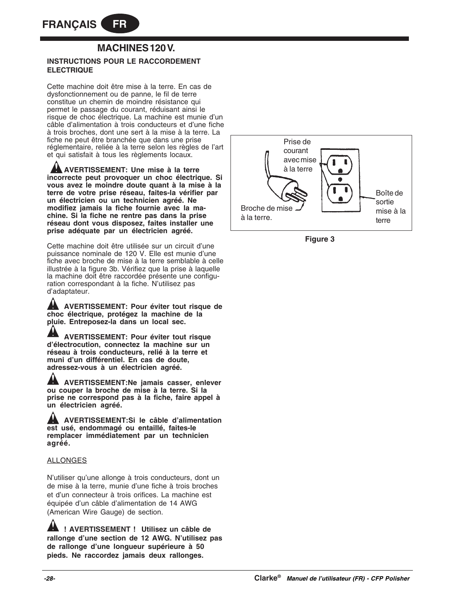# **MACHINES 120 V.**

# **INSTRUCTIONS POUR LE RACCORDEMENT ELECTRIQUE**

Cette machine doit être mise à la terre. En cas de dysfonctionnement ou de panne, le fil de terre constitue un chemin de moindre résistance qui permet le passage du courant, réduisant ainsi le risque de choc électrique. La machine est munie d'un câble d'alimentation à trois conducteurs et d'une fiche à trois broches, dont une sert à la mise à la terre. La fiche ne peut être branchée que dans une prise réglementaire, reliée à la terre selon les règles de l'art et qui satisfait à tous les règlements locaux.

**AVERTISSEMENT: Une mise à la terre incorrecte peut provoquer un choc électrique. Si vous avez le moindre doute quant à la mise à la terre de votre prise réseau, faites-la vérifier par un électricien ou un technicien agréé. Ne modifiez jamais la fiche fournie avec la machine. Si la fiche ne rentre pas dans la prise réseau dont vous disposez, faites installer une prise adéquate par un électricien agréé.**

Cette machine doit être utilisée sur un circuit d'une puissance nominale de 120 V. Elle est munie d'une fiche avec broche de mise à la terre semblable à celle illustrée à la figure 3b. Vérifiez que la prise à laquelle la machine doit être raccordée présente une configuration correspondant à la fiche. N'utilisez pas d'adaptateur.

**AVERTISSEMENT: Pour éviter tout risque de choc électrique, protégez la machine de la pluie. Entreposez-la dans un local sec.**

**AVERTISSEMENT: Pour éviter tout risque d'électrocution, connectez la machine sur un réseau à trois conducteurs, relié à la terre et muni d'un différentiel. En cas de doute, adressez-vous à un électricien agréé.**

**AVERTISSEMENT:Ne jamais casser, enlever ou couper la broche de mise à la terre. Si la prise ne correspond pas à la fiche, faire appel à un électricien agréé.**

**AVERTISSEMENT:Si le câble d'alimentation est usé, endommagé ou entaillé, faites-le remplacer immédiatement par un technicien agréé.**

#### ALLONGES

N'utiliser qu'une allonge à trois conducteurs, dont un de mise à la terre, munie d'une fiche à trois broches et d'un connecteur à trois orifices. La machine est équipée d'un câble d'alimentation de 14 AWG (American Wire Gauge) de section.

**! AVERTISSEMENT ! Utilisez un câble de rallonge d'une section de 12 AWG. N'utilisez pas de rallonge d'une longueur supérieure à 50 pieds. Ne raccordez jamais deux rallonges.**



**Figure 3**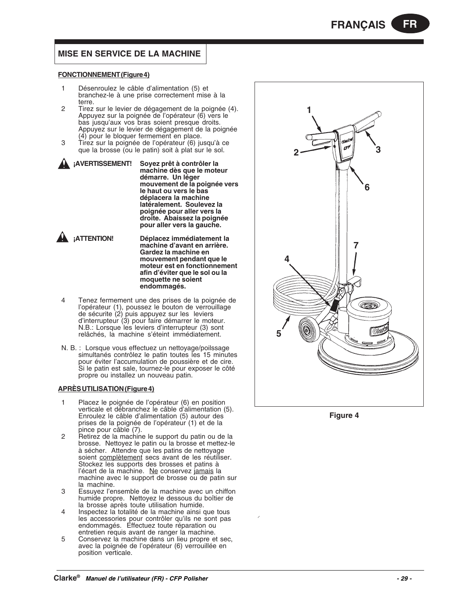# **MISE EN SERVICE DE LA MACHINE**

#### **FONCTIONNEMENT (Figure 4)**

- 1 Désenroulez le câble d'alimentation (5) et branchez-le à une prise correctement mise à la terre.
- 2 Tirez sur le levier de dégagement de la poignée (4). Appuyez sur la poignée de l'opérateur (6) vers le bas jusqu'aux vos bras soient presque droits. Appuyez sur le levier de dégagement de la poignée (4) pour le bloquer fermement en place.
- 3 Tirez sur la poignée de l'opérateur (6) jusqu'à ce que la brosse (ou le patin) soit à plat sur le sol.
- **¡AVERTISSEMENT! Soyez prêt à contrôler la machine dès que le moteur démarre. Un léger mouvement de la poignée vers le haut ou vers le bas déplacera la machine latéralement. Soulevez la poignée pour aller vers la droite. Abaissez la poignée pour aller vers la gauche.**
- - **¡ATTENTION! Déplacez immédiatement la machine d'avant en arrière. Gardez la machine en mouvement pendant que le moteur est en fonctionnement afin d'éviter que le sol ou la moquette ne soient endommagés.**
- 4 Tenez fermement une des prises de la poignée de l'opérateur (1), poussez le bouton de verrouillage de sécurite (2) puis appuyez sur les leviers d'interrupteur (3) pour faire démarrer le moteur. N.B.: Lorsque les leviers d'interrupteur (3) sont relâchés, la machine s'éteint immédiatement.
- N. B. : Lorsque vous effectuez un nettoyage/poilssage simultanés contrôlez le patin toutes les 15 minutes pour éviter l'accumulation de poussière et de cire. Si le patin est sale, tournez-le pour exposer le côté propre ou installez un nouveau patin.

#### **APRÈS UTILISATION (Figure 4)**

- 1 Placez le poignée de l'opérateur (6) en position verticale et débranchez le câble d'alimentation (5). Enroulez le câble d'alimentation (5) autour des prises de la poignée de l'opérateur (1) et de la pince pour câble (7).
- 2 Retirez de la machine le support du patin ou de la brosse. Nettoyez le patin ou la brosse et mettez-le à sécher. Attendre que les patins de nettoyage soient complètement secs avant de les réutiliser. Stockez les supports des brosses et patins à l'écart de la machine. Ne conservez jamais la machine avec le support de brosse ou de patin sur la machine.
- 3 Essuyez l'ensemble de la machine avec un chiffon humide propre. Nettoyez le dessous du boîtier de la brosse après toute utilisation humide.
- 4 Inspectez la totalité de la machine ainsi que tous les accessories pour contrôler qu'ils ne sont pas endommagés. Effectuez toute réparation ou entretien requis avant de ranger la machine.
- 5 Conservez la machine dans un lieu propre et sec, avec la poignée de l'opérateur (6) verrouillée en position verticale.



**Figure 4**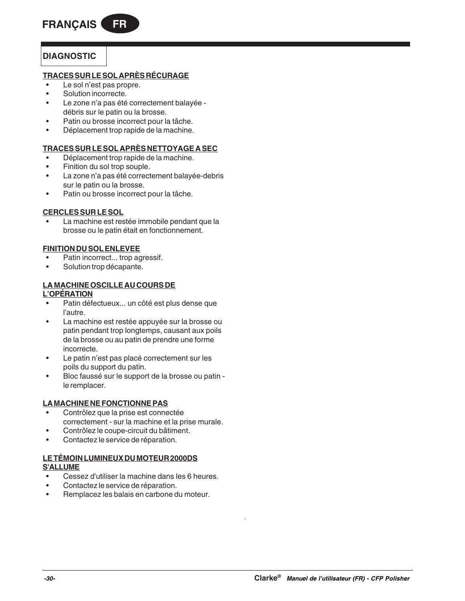# **DIAGNOSTIC**

# **TRACES SUR LE SOL APRÈS RÉCURAGE**

- Le sol n'est pas propre.
- Solution incorrecte.
- Le zone n'a pas été correctement balayée débris sur le patin ou la brosse.
- Patin ou brosse incorrect pour la tâche.
- Déplacement trop rapide de la machine.

# **TRACES SUR LE SOL APRÈS NETTOYAGE A SEC**

- Déplacement trop rapide de la machine.
- Finition du sol trop souple.
- La zone n'a pas été correctement balayée-debris sur le patin ou la brosse.
- Patin ou brosse incorrect pour la tâche.

# **CERCLES SUR LE SOL**

La machine est restée immobile pendant que la brosse ou le patin était en fonctionnement.

# **FINITION DU SOL ENLEVEE**

- Patin incorrect... trop agressif.
- Solution trop décapante.

#### **LA MACHINE OSCILLE AU COURS DE L'OPÉRATION**

- Patin défectueux... un côté est plus dense que l'autre.
- La machine est restée appuyée sur la brosse ou patin pendant trop longtemps, causant aux poils de la brosse ou au patin de prendre une forme incorrecte.
- Le patin n'est pas placé correctement sur les poils du support du patin.
- Bloc faussé sur le support de la brosse ou patin le remplacer.

# **LA MACHINE NE FONCTIONNE PAS**

- Contrôlez que la prise est connectée correctement - sur la machine et la prise murale.
- Contrôlez le coupe-circuit du bâtiment.
- Contactez le service de réparation.

# **LE TÉMOIN LUMINEUX DU MOTEUR 2000DS S'ALLUME**

- Cessez d'utiliser la machine dans les 6 heures.
- Contactez le service de réparation.
- Remplacez les balais en carbone du moteur.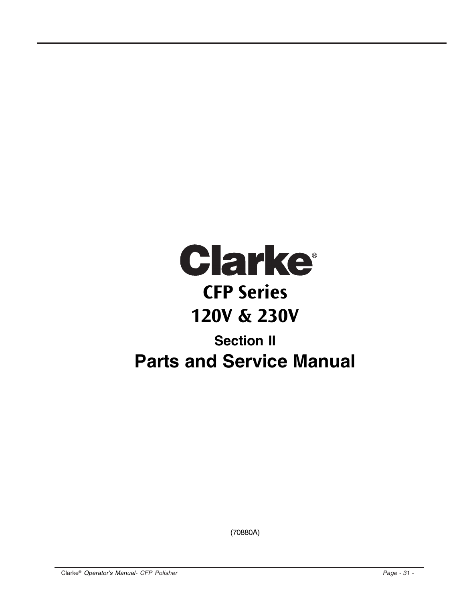

(70880A)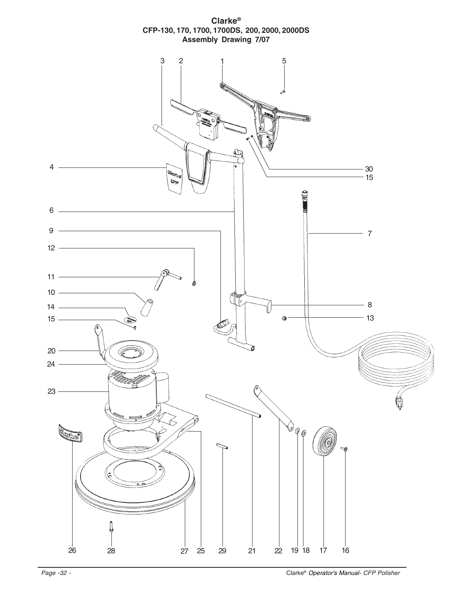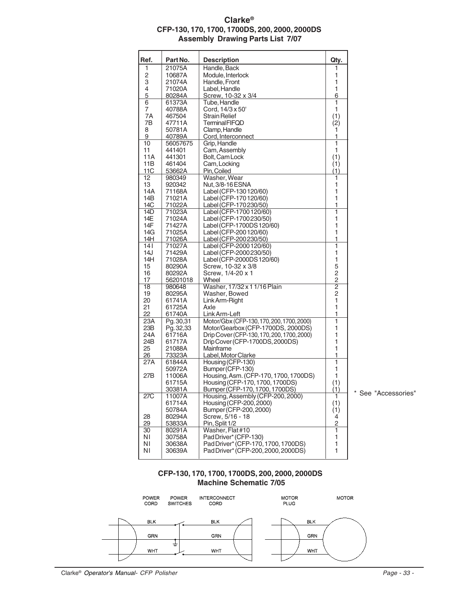# **Clarke® CFP-130, 170, 1700, 1700DS, 200, 2000, 2000DS Assembly Drawing Parts List 7/07**

| Ref. | Part No.  | <b>Description</b>                                          | Qty.           |                   |
|------|-----------|-------------------------------------------------------------|----------------|-------------------|
| 1    | 21075A    | Handle, Back                                                | 1              |                   |
| 2    | 10687A    | Module, Interlock                                           | 1              |                   |
| 3    | 21074A    | Handle, Front                                               | 1              |                   |
| 4    | 71020A    | Label, Handle                                               | 1              |                   |
| 5    | 80284A    | Screw, 10-32 x 3/4                                          | 6              |                   |
| 6    | 61373A    | Tube, Handle                                                | 1              |                   |
| 7    | 40788A    | Cord, 14/3 x 50'                                            | 1              |                   |
| 7Α   | 467504    | <b>Strain Relief</b>                                        | (1)            |                   |
| 7В   | 47711A    | <b>TerminalFIFQD</b>                                        | (2)            |                   |
| 8    | 50781A    | Clamp, Handle                                               | 1              |                   |
| 9    | 40789A    | Cord, Interconnect                                          | 1              |                   |
| 10   |           | Grip, Handle                                                | 1              |                   |
|      | 56057675  |                                                             | 1              |                   |
| 11   | 441401    | Cam, Assembly                                               |                |                   |
| 11A  | 441301    | Bolt, Cam Lock                                              | (1)            |                   |
| 11B  | 461404    | Cam, Locking                                                | (1)            |                   |
| 11C  | 53662A    | Pin, Coiled                                                 | (1)            |                   |
| 12   | 980349    | Washer, Wear                                                | 1              |                   |
| 13   | 920342    | Nut, 3/8-16 ESNA                                            | 1              |                   |
| 14A  | 71168A    | Label (CFP-130 120/60)                                      | 1              |                   |
| 14B  | 71021A    | Label (CFP-170 120/60)                                      | 1              |                   |
| 14C  | 71022A    | Label (CFP-170230/50)                                       | 1              |                   |
| 14D  | 71023A    | Label (CFP-1700 120/60)                                     | 1              |                   |
| 14E  | 71024A    | Label (CFP-1700230/50)                                      | 1              |                   |
| 14F  | 71427A    | Label (CFP-1700DS 120/60)                                   | 1              |                   |
| 14G  | 71025A    | Label (CFP-200 120/60)                                      | 1              |                   |
| 14H  | 71026A    | Label (CFP-200230/50)                                       | 1              |                   |
| 141  | 71027A    | Label (CFP-2000 120/60)                                     | 1              |                   |
| 14J  | 71429A    | Label (CFP-2000230/50)                                      | 1              |                   |
| 14H  | 71028A    | Label (CFP-2000DS 120/60)                                   | 1              |                   |
| 15   | 80290A    | Screw, 10-32 x 3/8                                          | 5              |                   |
| 16   | 80292A    | Screw, 1/4-20 x 1                                           | $\overline{c}$ |                   |
| 17   | 56201018  | Wheel                                                       | $\overline{c}$ |                   |
| 18   | 980648    | Washer, 17/32 x 1 1/16 Plain                                | $\overline{2}$ |                   |
| 19   | 80295A    | Washer, Bowed                                               | $\overline{c}$ |                   |
| 20   | 61741A    | Link Arm-Right                                              | 1              |                   |
| 21   | 61725A    | Axle                                                        | 1              |                   |
|      |           |                                                             | 1              |                   |
| 22   | 61740A    | Link Arm-Left<br>Motor/Gbx (CFP-130, 170, 200, 1700, 2000)  | 1              |                   |
| 23A  | Pg. 30,31 |                                                             |                |                   |
| 23B  | Pg. 32,33 | Motor/Gearbox (CFP-1700DS, 2000DS)                          | 1              |                   |
| 24A  | 61716A    | Drip Cover (CFP-130, 170, 200, 1700, 2000)                  | 1              |                   |
| 24B  | 61717A    | Drip Cover (CFP-1700DS, 2000DS)                             | 1              |                   |
| 25   | 21088A    | Mainframe                                                   | 1              |                   |
| 26   | 73323A    | Label, Motor Clarke                                         | 1              |                   |
| 27A  | 61844A    | Housing (CFP-130)                                           | 1              |                   |
|      | 50972A    | Bumper (CFP-130)                                            | 1              |                   |
| 27B  | 11006A    | Housing, Asm. (CFP-170, 1700, 1700DS)                       | 1              |                   |
|      | 61715A    | Housing (CFP-170, 1700, 1700DS)                             | (1)            |                   |
|      | 30381A    | Bumper (CFP-170, 1700, 1700DS)                              | (1)            |                   |
| 27C  | 11007A    | Housing, Assembly (CFP-200, 2000)                           | ī              | See "Accessories" |
|      | 61714A    | Housing (CFP-200, 2000)                                     | (1)            |                   |
|      | 50784A    | Bumper (CFP-200, 2000)                                      | (1)            |                   |
| 28   | 80294A    | Screw, 5/16 - 18                                            | 4              |                   |
| 29   | 53833A    | Pin, Split 1/2                                              | $\mathbf 2$    |                   |
|      |           | Washer, Flat#10                                             | 1              |                   |
| 30   | 80291A    |                                                             |                |                   |
| ΝI   | 30758A    |                                                             | 1              |                   |
| ΝI   | 30638A    | PadDriver* (CFP-130)<br>Pad Driver* (CFP-170, 1700, 1700DS) | 1              |                   |

# **CFP-130, 170, 1700, 1700DS, 200, 2000, 2000DS Machine Schematic 7/05**

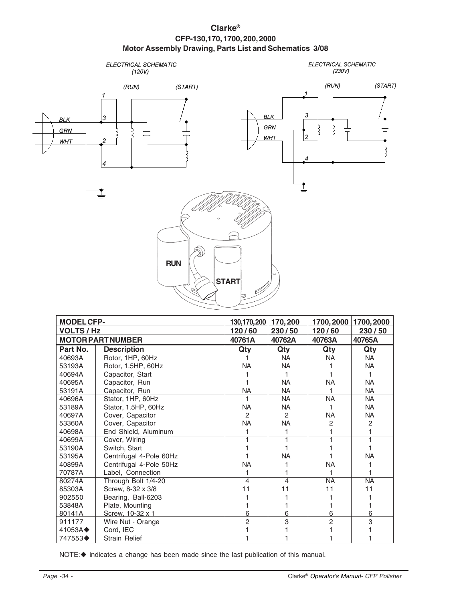# **Clarke® CFP-130,170, 1700, 200, 2000 Motor Assembly Drawing, Parts List and Schematics 3/08**



| <b>MODELCFP-</b>       |                          | 130,170,200    | 170,200                 | 1700,2000      | 1700,2000 |
|------------------------|--------------------------|----------------|-------------------------|----------------|-----------|
| <b>VOLTS / Hz</b>      |                          | 120/60         | 230/50                  | 120/60         | 230/50    |
|                        | <b>MOTOR PART NUMBER</b> | 40761A         | 40762A                  | 40763A         | 40765A    |
| Part No.               | <b>Description</b>       | Qty            | Qty                     | Qty            | Qty       |
| 40693A                 | Rotor, 1HP, 60Hz         |                | NA.                     | <b>NA</b>      | <b>NA</b> |
| 53193A                 | Rotor, 1.5HP, 60Hz       | <b>NA</b>      | NA.                     |                | NA.       |
| 40694A                 | Capacitor, Start         |                | 1                       |                | 1         |
| 40695A                 | Capacitor, Run           |                | <b>NA</b>               | <b>NA</b>      | <b>NA</b> |
| 53191A                 | Capacitor, Run           | <b>NA</b>      | <b>NA</b>               |                | <b>NA</b> |
| 40696A                 | Stator, 1HP, 60Hz        | 1              | NA.                     | <b>NA</b>      | <b>NA</b> |
| 53189A                 | Stator, 1.5HP, 60Hz      | <b>NA</b>      | NA                      |                | NA.       |
| 40697A                 | Cover, Capacitor         | 2              | 2                       | NA.            | <b>NA</b> |
| 53360A                 | Cover, Capacitor         | <b>NA</b>      | <b>NA</b>               | 2              | 2         |
| 40698A                 | End Shield, Aluminum     |                |                         |                |           |
| 40699A                 | Cover, Wiring            |                |                         |                |           |
| 53190A                 | Switch, Start            |                |                         |                |           |
| 53195A                 | Centrifugal 4-Pole 60Hz  |                | NA.                     |                | <b>NA</b> |
| 40899A                 | Centrifugal 4-Pole 50Hz  | <b>NA</b>      |                         | <b>NA</b>      |           |
| 70787A                 | Label, Connection        | 1              |                         |                |           |
| 80274A                 | Through Bolt 1/4-20      | 4              | $\overline{\mathbf{4}}$ | <b>NA</b>      | <b>NA</b> |
| 85303A                 | Screw, 8-32 x 3/8        | 11             | 11                      | 11             | 11        |
| 902550                 | Bearing, Ball-6203       |                |                         |                |           |
| 53848A                 | Plate, Mounting          |                |                         |                |           |
| 80141A                 | Screw, 10-32 x 1         | 6              | 6                       | 6              | 6         |
| 911177                 | Wire Nut - Orange        | $\overline{c}$ | 3                       | $\overline{2}$ | 3         |
| $41053A \triangleleft$ | Cord, IEC                |                |                         |                |           |
| 747553♦                | <b>Strain Relief</b>     |                |                         |                |           |

NOTE:  $\blacklozenge$  indicates a change has been made since the last publication of this manual.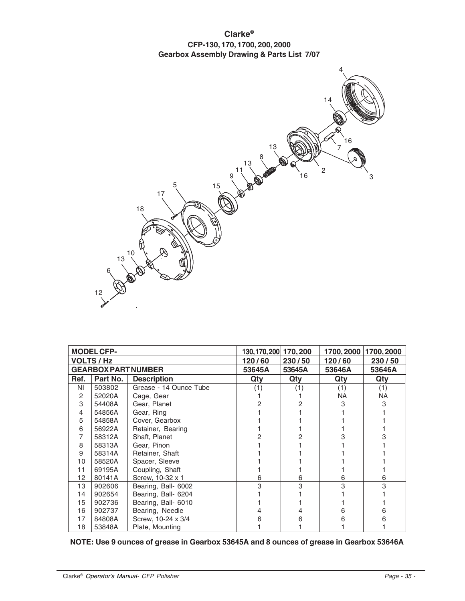**Clarke® CFP-130, 170, 1700, 200, 2000 Gearbox Assembly Drawing & Parts List 7/07**



|      | <b>MODEL CFP-</b>          |                        | 130, 170, 200 170, 200 |        |           | 1700, 2000 1700, 2000 |
|------|----------------------------|------------------------|------------------------|--------|-----------|-----------------------|
|      | <b>VOLTS / Hz</b>          |                        | 120/60                 | 230/50 | 120/60    | 230/50                |
|      | <b>GEARBOX PART NUMBER</b> |                        | 53645A                 | 53645A | 53646A    | 53646A                |
| Ref. | Part No.                   | <b>Description</b>     | Qty                    | Qty    | Qty       | Qty                   |
| ΝI   | 503802                     | Grease - 14 Ounce Tube | (1)                    | (1)    | (1)       | (1)                   |
| 2    | 52020A                     | Cage, Gear             |                        |        | <b>NA</b> | NA.                   |
| 3    | 54408A                     | Gear, Planet           |                        |        |           |                       |
| 4    | 54856A                     | Gear, Ring             |                        |        |           |                       |
| 5    | 54858A                     | Cover, Gearbox         |                        |        |           |                       |
| 6    | 56922A                     | Retainer, Bearing      |                        |        |           |                       |
| 7    | 58312A                     | Shaft, Planet          |                        | 2      |           |                       |
| 8    | 58313A                     | Gear, Pinon            |                        |        |           |                       |
| 9    | 58314A                     | Retainer, Shaft        |                        |        |           |                       |
| 10   | 58520A                     | Spacer, Sleeve         |                        |        |           |                       |
| 11   | 69195A                     | Coupling, Shaft        |                        |        |           |                       |
| 12   | 80141A                     | Screw, 10-32 x 1       | 6                      | 6      | 6         | 6                     |
| 13   | 902606                     | Bearing, Ball- 6002    | 3                      | 3      | 3         |                       |
| 14   | 902654                     | Bearing, Ball- 6204    |                        |        |           |                       |
| 15   | 902736                     | Bearing, Ball- 6010    |                        |        |           |                       |
| 16   | 902737                     | Bearing, Needle        |                        |        |           |                       |
| 17   | 84808A                     | Screw, 10-24 x 3/4     |                        |        |           |                       |
| 18   | 53848A                     | Plate, Mounting        |                        |        |           |                       |

|  | NOTE: Use 9 ounces of grease in Gearbox 53645A and 8 ounces of grease in Gearbox 53646A |  |
|--|-----------------------------------------------------------------------------------------|--|
|--|-----------------------------------------------------------------------------------------|--|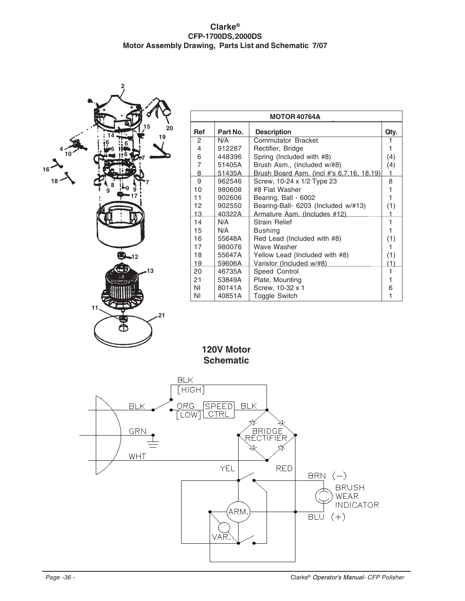# **Clarke® CFP-1700DS, 2000DS Motor Assembly Drawing, Parts List and Schematic 7/07**



|                |          | <b>MOTOR 40764A</b>                       |      |
|----------------|----------|-------------------------------------------|------|
| <b>Ref</b>     | Part No. | <b>Description</b>                        | Qty. |
| 2              | N/A      | Commutator Bracket                        |      |
| $\overline{4}$ | 912287   | Rectifier, Bridge                         | 1    |
| 6              | 448396   | Spring (Included with #8)                 | (4)  |
| $\overline{7}$ | 51405A   | Brush Asm., (Included w/#8)               | (4)  |
| 8              | 51435A   | Brush Board Asm. (incl #'s 6,7,16, 18,19) | 1    |
| 9              | 962546   | Screw, 10-24 x 1/2 Type 23                | 8    |
| 10             | 980608   | #8 Flat Washer                            | 1    |
| 11             | 902606   | Bearing, Ball - 6002                      | 1    |
| 12             | 902550   | Bearing-Ball- 6203 (Included w/#13)       | (1)  |
| 13             | 40322A   | Armature Asm. (Includes #12)              |      |
| 14             | N/A      | <b>Strain Relief</b>                      | 1    |
| 15             | N/A      | <b>Bushing</b>                            | 1    |
| 16             | 55648A   | Red Lead (Included with #8)               | (1)  |
| 17             | 980076   | Wave Washer                               | 1    |
| 18             | 55647A   | Yellow Lead (Included with #8)            | (1)  |
| 19             | 59606A   | Varistor (Included w/#8)                  | (1)  |
| 20             | 46735A   | Speed Control                             | 1    |
| 21             | 53849A   | Plate, Mounting                           | 1    |
| ΝI             | 80141A   | Screw, 10-32 x 1                          | 6    |
| ΝI             | 40851A   | Toggle Switch                             | 1    |

**120V Motor Schematic**

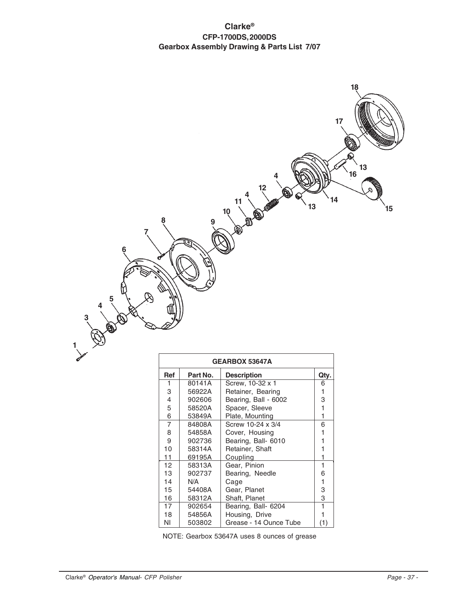# **Clarke® CFP-1700DS, 2000DS Gearbox Assembly Drawing & Parts List 7/07**



|                 |          | <b>GEARBOX 53647A</b>  |              |
|-----------------|----------|------------------------|--------------|
| <b>Ref</b>      | Part No. | <b>Description</b>     | Qty.         |
| 1               | 80141A   | Screw, 10-32 x 1       | 6            |
| 3               | 56922A   | Retainer, Bearing      | 1            |
| 4               | 902606   | Bearing, Ball - 6002   | 3            |
| 5               | 58520A   | Spacer, Sleeve         | 1            |
| 6               | 53849A   | Plate, Mounting        | 1            |
| $\overline{7}$  | 84808A   | Screw 10-24 x 3/4      | 6            |
| 8               | 54858A   | Cover, Housing         | 1            |
| 9               | 902736   | Bearing, Ball- 6010    | 1            |
| 10              | 58314A   | Retainer, Shaft        | 1            |
| 11              | 69195A   | Coupling               | 1            |
| 12 <sup>2</sup> | 58313A   | Gear, Pinion           | 1            |
| 13              | 902737   | Bearing, Needle        | 6            |
| 14              | N/A      | Cage                   | $\mathbf{1}$ |
| 15              | 54408A   | Gear, Planet           | 3            |
| 16              | 58312A   | Shaft, Planet          | 3            |
| 17              | 902654   | Bearing, Ball- 6204    | 1            |
| 18              | 54856A   | Housing, Drive         | 1            |
| ΝI              | 503802   | Grease - 14 Ounce Tube | (1)          |

NOTE: Gearbox 53647A uses 8 ounces of grease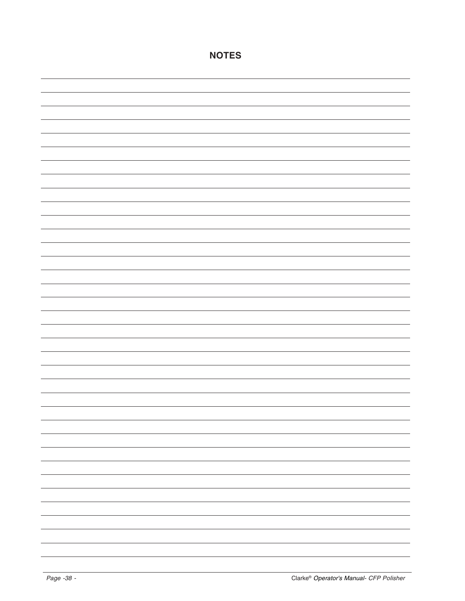| $\overline{\phantom{0}}$ |
|--------------------------|
| $\overline{\phantom{0}}$ |
| $\overline{\phantom{0}}$ |
|                          |
| $\overline{\phantom{0}}$ |
| $\overline{\phantom{0}}$ |
| $\overline{\phantom{0}}$ |
| $\overline{\phantom{0}}$ |
| $\overline{\phantom{0}}$ |
| $\overline{\phantom{0}}$ |
| $\overline{\phantom{0}}$ |

**NOTES**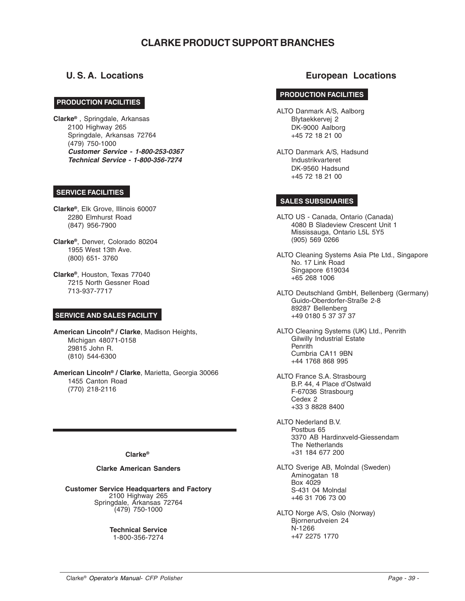# **CLARKE PRODUCT SUPPORT BRANCHES**

#### **CORPO PRODUCTION FACILITIES**

**Clarke®** , Springdale, Arkansas 2100 Highway 265 Springdale, Arkansas 72764 (479) 750-1000 **Customer Service - 1-800-253-0367 Technical Service - 1-800-356-7274**

# **SERVICE FACILITIES**

**Clarke®**, Elk Grove, Illinois 60007 2280 Elmhurst Road (847) 956-7900

**Clarke®**, Denver, Colorado 80204 1955 West 13th Ave. (800) 651- 3760

**Clarke®**, Houston, Texas 77040 7215 North Gessner Road 713-937-7717

# **SERVICE AND SALES FACILITY**

**American Lincoln® / Clarke**, Madison Heights, Michigan 48071-0158 29815 John R. (810) 544-6300

**American Lincoln® / Clarke**, Marietta, Georgia 30066 1455 Canton Road (770) 218-2116

#### **Clarke®**

#### **Clarke American Sanders**

**Customer Service Headquarters and Factory** 2100 Highway 265 Springdale, Arkansas 72764 (479) 750-1000

> **Technical Service** 1-800-356-7274

# **U. S. A. Locations European Locations**

# **PRODUCTION FACILITIES**

ALTO Danmark A/S, Aalborg Blytaekkervej 2 DK-9000 Aalborg +45 72 18 21 00

ALTO Danmark A/S, Hadsund Industrikvarteret DK-9560 Hadsund +45 72 18 21 00

#### **SALES SUBSIDIARIES**

ALTO US - Canada, Ontario (Canada) 4080 B Sladeview Crescent Unit 1 Mississauga, Ontario L5L 5Y5 (905) 569 0266

ALTO Cleaning Systems Asia Pte Ltd., Singapore No. 17 Link Road Singapore 619034 +65 268 1006

ALTO Deutschland GmbH, Bellenberg (Germany) Guido-Oberdorfer-Straße 2-8 89287 Bellenberg +49 0180 5 37 37 37

ALTO Cleaning Systems (UK) Ltd., Penrith Gilwilly Industrial Estate Penrith Cumbria CA11 9BN +44 1768 868 995

ALTO France S.A. Strasbourg B.P. 44, 4 Place d'Ostwald F-67036 Strasbourg Cedex 2 +33 3 8828 8400

ALTO Nederland B.V. Postbus 65 3370 AB Hardinxveld-Giessendam The Netherlands +31 184 677 200

ALTO Sverige AB, Molndal (Sweden) Aminogatan 18 Box 4029 S-431 04 Molndal +46 31 706 73 00

ALTO Norge A/S, Oslo (Norway) Bjornerudveien 24 N-1266 +47 2275 1770